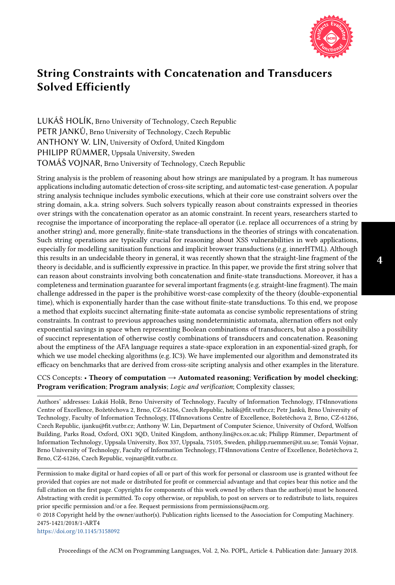

LUKÁŠ HOLÍK, Brno University of Technology, Czech Republic PETR JANKŮ, Brno University of Technology, Czech Republic ANTHONY W. LIN, University of Oxford, United Kingdom PHILIPP RÜMMER, Uppsala University, Sweden TOMÁŠ VOJNAR, Brno University of Technology, Czech Republic

String analysis is the problem of reasoning about how strings are manipulated by a program. It has numerous applications including automatic detection of cross-site scripting, and automatic test-case generation. A popular string analysis technique includes symbolic executions, which at their core use constraint solvers over the string domain, a.k.a. string solvers. Such solvers typically reason about constraints expressed in theories over strings with the concatenation operator as an atomic constraint. In recent years, researchers started to recognise the importance of incorporating the replace-all operator (i.e. replace all occurrences of a string by another string) and, more generally, finite-state transductions in the theories of strings with concatenation. Such string operations are typically crucial for reasoning about XSS vulnerabilities in web applications, especially for modelling sanitisation functions and implicit browser transductions (e.g. innerHTML). Although this results in an undecidable theory in general, it was recently shown that the straight-line fragment of the theory is decidable, and is sufficiently expressive in practice. In this paper, we provide the first string solver that can reason about constraints involving both concatenation and finite-state transductions. Moreover, it has a completeness and termination guarantee for several important fragments (e.g. straight-line fragment). The main challenge addressed in the paper is the prohibitive worst-case complexity of the theory (double-exponential time), which is exponentially harder than the case without finite-state transductions. To this end, we propose a method that exploits succinct alternating finite-state automata as concise symbolic representations of string constraints. In contrast to previous approaches using nondeterministic automata, alternation offers not only exponential savings in space when representing Boolean combinations of transducers, but also a possibility of succinct representation of otherwise costly combinations of transducers and concatenation. Reasoning about the emptiness of the AFA language requires a state-space exploration in an exponential-sized graph, for which we use model checking algorithms (e.g. IC3). We have implemented our algorithm and demonstrated its efficacy on benchmarks that are derived from cross-site scripting analysis and other examples in the literature.

CCS Concepts: • Theory of computation  $\rightarrow$  Automated reasoning; Verification by model checking; Program verification; Program analysis; Logic and verification; Complexity classes;

Authors' addresses: Lukáš Holík, Brno University of Technology, Faculty of Information Technology, IT4Innovations Centre of Excellence, Božetěchova 2, Brno, CZ-61266, Czech Republic, holik@fit.vutbr.cz; Petr Janků, Brno University of Technology, Faculty of Information Technology, IT4Innovations Centre of Excellence, Božetěchova 2, Brno, CZ-61266, Czech Republic, ijanku@fit.vutbr.cz; Anthony W. Lin, Department of Computer Science, University of Oxford, Wolfson Building, Parks Road, Oxford, OX1 3QD, United Kingdom, anthony.lin@cs.ox.ac.uk; Philipp Rümmer, Department of Information Technology, Uppsala University, Box 337, Uppsala, 75105, Sweden, philipp.ruemmer@it.uu.se; Tomáš Vojnar, Brno University of Technology, Faculty of Information Technology, IT4Innovations Centre of Excellence, Božetěchova 2, Brno, CZ-61266, Czech Republic, vojnar@fit.vutbr.cz.

Permission to make digital or hard copies of all or part of this work for personal or classroom use is granted without fee provided that copies are not made or distributed for profit or commercial advantage and that copies bear this notice and the full citation on the first page. Copyrights for components of this work owned by others than the author(s) must be honored. Abstracting with credit is permitted. To copy otherwise, or republish, to post on servers or to redistribute to lists, requires prior specific permission and/or a fee. Request permissions from permissions@acm.org.

© 2018 Copyright held by the owner/author(s). Publication rights licensed to the Association for Computing Machinery. 2475-1421/2018/1-ART4

<https://doi.org/10.1145/3158092>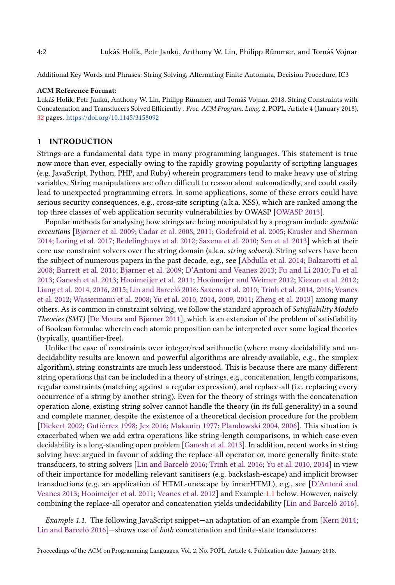Additional Key Words and Phrases: String Solving, Alternating Finite Automata, Decision Procedure, IC3

#### ACM Reference Format:

Lukáš Holík, Petr Janků, Anthony W. Lin, Philipp Rümmer, and Tomáš Vojnar. 2018. String Constraints with Concatenation and Transducers Solved Efficiently . Proc. ACM Program. Lang. 2, POPL, Article 4 (January 2018), [32](#page-31-0) pages. <https://doi.org/10.1145/3158092>

## 1 INTRODUCTION

Strings are a fundamental data type in many programming languages. This statement is true now more than ever, especially owing to the rapidly growing popularity of scripting languages (e.g. JavaScript, Python, PHP, and Ruby) wherein programmers tend to make heavy use of string variables. String manipulations are often difficult to reason about automatically, and could easily lead to unexpected programming errors. In some applications, some of these errors could have serious security consequences, e.g., cross-site scripting (a.k.a. XSS), which are ranked among the top three classes of web application security vulnerabilities by OWASP [\[OWASP 2013\]](#page-30-0).

Popular methods for analysing how strings are being manipulated by a program include symbolic executions [Bjørner et al. [2009;](#page-28-0) [Cadar et al.](#page-29-0) [2008,](#page-29-0) [2011;](#page-29-1) [Godefroid et al.](#page-29-2) [2005;](#page-29-2) [Kausler and Sherman](#page-29-3) [2014;](#page-29-3) [Loring et al.](#page-30-1) [2017;](#page-30-1) [Redelinghuys et al.](#page-30-2) [2012;](#page-30-2) [Saxena et al.](#page-30-3) [2010;](#page-30-3) [Sen et al.](#page-30-4) [2013\]](#page-30-4) which at their core use constraint solvers over the string domain (a.k.a. string solvers). String solvers have been the subject of numerous papers in the past decade, e.g., see [\[Abdulla et al.](#page-28-1) [2014;](#page-28-1) [Balzarotti et al.](#page-28-2) [2008;](#page-28-2) [Barrett et al.](#page-28-3) [2016;](#page-28-3) Bjørner et al. [2009;](#page-28-0) [D'Antoni and Veanes 2013;](#page-29-4) [Fu and Li 2010;](#page-29-5) [Fu et al.](#page-29-6) [2013;](#page-29-6) [Ganesh et al.](#page-29-7) [2013;](#page-29-7) [Hooimeijer et al.](#page-29-8) [2011;](#page-29-8) [Hooimeijer and Weimer 2012;](#page-29-9) [Kiezun et al.](#page-29-10) [2012;](#page-29-10) [Liang et al.](#page-30-5) [2014,](#page-30-5) [2016,](#page-30-6) [2015;](#page-30-7) [Lin and Barceló 2016;](#page-30-8) [Saxena et al.](#page-30-3) [2010;](#page-30-3) [Trinh et al.](#page-30-9) [2014,](#page-30-9) [2016;](#page-30-10) [Veanes](#page-31-1) [et al.](#page-31-1) [2012;](#page-31-1) [Wassermann et al.](#page-31-2) [2008;](#page-31-2) [Yu et al.](#page-31-3) [2010,](#page-31-3) [2014,](#page-31-4) [2009,](#page-31-5) [2011;](#page-31-6) [Zheng et al.](#page-31-7) [2013\]](#page-31-7) among many others. As is common in constraint solving, we follow the standard approach of Satisfiability Modulo Theories (SMT) [De Moura and Bjørner 2011], which is an extension of the problem of satisfiability of Boolean formulae wherein each atomic proposition can be interpreted over some logical theories (typically, quantifier-free).

Unlike the case of constraints over integer/real arithmetic (where many decidability and undecidability results are known and powerful algorithms are already available, e.g., the simplex algorithm), string constraints are much less understood. This is because there are many different string operations that can be included in a theory of strings, e.g., concatenation, length comparisons, regular constraints (matching against a regular expression), and replace-all (i.e. replacing every occurrence of a string by another string). Even for the theory of strings with the concatenation operation alone, existing string solver cannot handle the theory (in its full generality) in a sound and complete manner, despite the existence of a theoretical decision procedure for the problem [\[Diekert 2002;](#page-29-12) [Gutiérrez 1998;](#page-29-13) [Jez 2016;](#page-29-14) [Makanin 1977;](#page-30-11) [Plandowski 2004,](#page-30-12) [2006\]](#page-30-13). This situation is exacerbated when we add extra operations like string-length comparisons, in which case even decidability is a long-standing open problem [\[Ganesh et al.](#page-29-7) [2013\]](#page-29-7). In addition, recent works in string solving have argued in favour of adding the replace-all operator or, more generally finite-state transducers, to string solvers [\[Lin and Barceló 2016;](#page-30-8) [Trinh et al.](#page-30-10) [2016;](#page-30-10) [Yu et al.](#page-31-3) [2010,](#page-31-3) [2014\]](#page-31-4) in view of their importance for modelling relevant sanitisers (e.g. backslash-escape) and implicit browser transductions (e.g. an application of HTML-unescape by innerHTML), e.g., see [\[D'Antoni and](#page-29-4) [Veanes 2013;](#page-29-4) [Hooimeijer et al.](#page-29-8) [2011;](#page-29-8) [Veanes et al.](#page-31-1) [2012\]](#page-31-1) and Example [1.1](#page-1-0) below. However, naively combining the replace-all operator and concatenation yields undecidability [\[Lin and Barceló 2016\]](#page-30-8).

<span id="page-1-0"></span>Example 1.1. The following JavaScript snippet—an adaptation of an example from [\[Kern 2014;](#page-29-15) [Lin and Barceló 2016\]](#page-30-8)–shows use of both concatenation and finite-state transducers: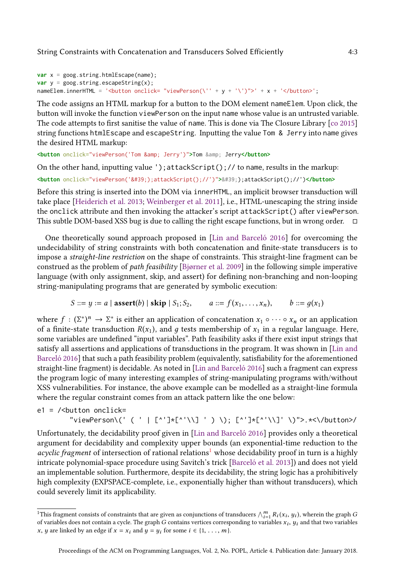```
var x = goog.string.htmlEscape(name);
var y = goog.string.escapeString(x);
nameElem.innerHTML = '<br/>button onclick= "viewPerson(\'' + y + '\')">' + x + '</button>';
```
The code assigns an HTML markup for a button to the DOM element nameElem. Upon click, the button will invoke the function viewPerson on the input name whose value is an untrusted variable. The code attempts to first sanitise the value of name. This is done via The Closure Library [\[co 2015\]](#page-29-16) string functions htmlEscape and escapeString. Inputting the value Tom & Jerry into name gives the desired HTML markup:

**<button** onclick="viewPerson('Tom & Jerry')"**>**Tom **&** Jerry**</button>**

On the other hand, inputting value ');attackScript();// to name, results in the markup:

 $\text{Sub}$  onclick="viewPerson('');attackScript();//')">');attackScript();//')</button>

Before this string is inserted into the DOM via innerHTML, an implicit browser transduction will take place [\[Heiderich et al.](#page-29-17) [2013;](#page-29-17) [Weinberger et al.](#page-31-8) [2011\]](#page-31-8), i.e., HTML-unescaping the string inside the onclick attribute and then invoking the attacker's script attackScript() after viewPerson. This subtle DOM-based XSS bug is due to calling the right escape functions, but in wrong order.  $\Box$ 

One theoretically sound approach proposed in [\[Lin and Barceló 2016\]](#page-30-8) for overcoming the undecidability of string constraints with both concatenation and finite-state transducers is to impose a straight-line restriction on the shape of constraints. This straight-line fragment can be construed as the problem of *path feasibility* [Bjørner et al. [2009\]](#page-28-0) in the following simple imperative language (with only assignment, skip, and assert) for defining non-branching and non-looping string-manipulating programs that are generated by symbolic execution:

$$
S ::= y := a | assert(b) | skip | S_1; S_2, \qquad a ::= f(x_1, ..., x_n), \qquad b ::= g(x_1)
$$

where  $f : (\Sigma^*)^n \to \Sigma^*$  is either an application of concatenation  $x_1 \circ \cdots \circ x_n$  or an application of a finite-state transduction  $R(x_1)$ , and g tests membership of  $x_1$  in a regular language. Here, some variables are undefined "input variables". Path feasibility asks if there exist input strings that satisfy all assertions and applications of transductions in the program. It was shown in [\[Lin and](#page-30-8) [Barceló 2016\]](#page-30-8) that such a path feasibility problem (equivalently, satisfiability for the aforementioned straight-line fragment) is decidable. As noted in [\[Lin and Barceló 2016\]](#page-30-8) such a fragment can express the program logic of many interesting examples of string-manipulating programs with/without XSS vulnerabilities. For instance, the above example can be modelled as a straight-line formula where the regular constraint comes from an attack pattern like the one below:

e1 = /<button onclick= "viewPerson\(' ( ' | [^']\*[^'\\] ' ) \); [^']\*[^'\\]' \)">.\*<\/button>/

Unfortunately, the decidability proof given in [\[Lin and Barceló 2016\]](#page-30-8) provides only a theoretical argument for decidability and complexity upper bounds (an exponential-time reduction to the acyclic fragment of intersection of rational relations<sup>[1](#page-2-0)</sup> whose decidability proof in turn is a highly intricate polynomial-space procedure using Savitch's trick [\[Barceló et al.](#page-28-4) [2013\]](#page-28-4)) and does not yield an implementable solution. Furthermore, despite its decidability, the string logic has a prohibitively high complexity (EXPSPACE-complete, i.e., exponentially higher than without transducers), which could severely limit its applicability.

<span id="page-2-0"></span><sup>&</sup>lt;sup>1</sup>This fragment consists of constraints that are given as conjunctions of transducers  $\bigwedge_{i=1}^{m} R_i(x_i, y_i)$ , wherein the graph G of variables does not contain a cycle. The graph G contains vertices corresponding to variables  $x_i$ ,  $y_i$  and that two variables x, y are linked by an edge if  $x = x_i$  and  $y = y_i$  for some  $i \in \{1, \ldots, m\}$ .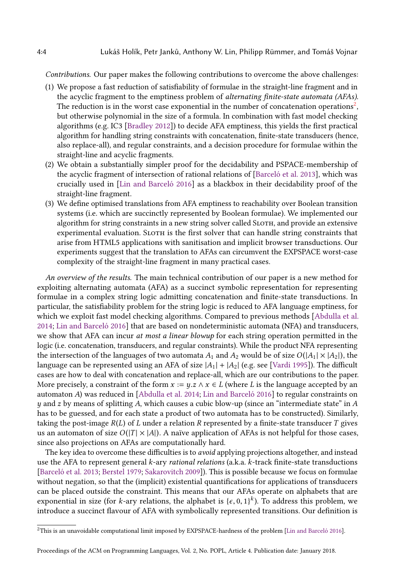Contributions. Our paper makes the following contributions to overcome the above challenges:

- (1) We propose a fast reduction of satisfiability of formulae in the straight-line fragment and in the acyclic fragment to the emptiness problem of alternating finite-state automata (AFAs). The reduction is in the worst case exponential in the number of concatenation operations<sup>[2](#page-3-0)</sup>, but otherwise polynomial in the size of a formula. In combination with fast model checking algorithms (e.g. IC3 [\[Bradley 2012\]](#page-28-5)) to decide AFA emptiness, this yields the first practical algorithm for handling string constraints with concatenation, finite-state transducers (hence, also replace-all), and regular constraints, and a decision procedure for formulae within the straight-line and acyclic fragments.
- (2) We obtain a substantially simpler proof for the decidability and PSPACE-membership of the acyclic fragment of intersection of rational relations of [\[Barceló et al.](#page-28-4) [2013\]](#page-28-4), which was crucially used in [\[Lin and Barceló 2016\]](#page-30-8) as a blackbox in their decidability proof of the straight-line fragment.
- (3) We define optimised translations from AFA emptiness to reachability over Boolean transition systems (i.e. which are succinctly represented by Boolean formulae). We implemented our algorithm for string constraints in a new string solver called Sloth, and provide an extensive experimental evaluation. SLOTH is the first solver that can handle string constraints that arise from HTML5 applications with sanitisation and implicit browser transductions. Our experiments suggest that the translation to AFAs can circumvent the EXPSPACE worst-case complexity of the straight-line fragment in many practical cases.

An overview of the results. The main technical contribution of our paper is a new method for exploiting alternating automata (AFA) as a succinct symbolic representation for representing formulae in a complex string logic admitting concatenation and finite-state transductions. In particular, the satisfiability problem for the string logic is reduced to AFA language emptiness, for which we exploit fast model checking algorithms. Compared to previous methods [\[Abdulla et al.](#page-28-1) [2014;](#page-28-1) [Lin and Barceló 2016\]](#page-30-8) that are based on nondeterministic automata (NFA) and transducers, we show that AFA can incur *at most a linear blowup* for each string operation permitted in the logic (i.e. concatenation, transducers, and regular constraints). While the product NFA representing the intersection of the languages of two automata  $A_1$  and  $A_2$  would be of size  $O(|A_1| \times |A_2|)$ , the language can be represented using an AFA of size  $|A_1| + |A_2|$  (e.g. see [\[Vardi 1995\]](#page-30-14)). The difficult cases are how to deal with concatenation and replace-all, which are our contributions to the paper. More precisely, a constraint of the form  $x := y.z \land x \in L$  (where L is the language accepted by an automaton A) was reduced in [\[Abdulla et al.](#page-28-1) [2014;](#page-28-1) [Lin and Barceló 2016\]](#page-30-8) to regular constraints on  $y$  and z by means of splitting A, which causes a cubic blow-up (since an "intermediate state" in A has to be guessed, and for each state a product of two automata has to be constructed). Similarly, taking the post-image  $R(L)$  of L under a relation R represented by a finite-state transducer T gives us an automaton of size  $O(|T| \times |A|)$ . A naïve application of AFAs is not helpful for those cases, since also projections on AFAs are computationally hard.

The key idea to overcome these difficulties is to *avoid* applying projections altogether, and instead use the AFA to represent general k-ary rational relations (a.k.a. k-track finite-state transductions [\[Barceló et al.](#page-28-4) [2013;](#page-28-4) [Berstel 1979;](#page-28-6) [Sakarovitch 2009\]](#page-30-15)). This is possible because we focus on formulae without negation, so that the (implicit) existential quantifications for applications of transducers can be placed outside the constraint. This means that our AFAs operate on alphabets that are exponential in size (for k-ary relations, the alphabet is { $\epsilon$ , 0, 1}<sup>k</sup>). To address this problem, we introduce a succinct flavour of AFA with symbolically represented transitions. Our definition is

<span id="page-3-0"></span><sup>2</sup>This is an unavoidable computational limit imposed by EXPSPACE-hardness of the problem [\[Lin and Barceló 2016\]](#page-30-8).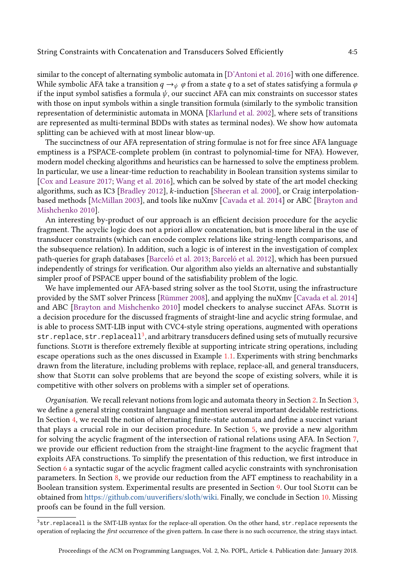similar to the concept of alternating symbolic automata in [\[D'Antoni et al.](#page-29-18) [2016\]](#page-29-18) with one difference. While symbolic AFA take a transition  $q \rightarrow_{\psi} \varphi$  from a state q to a set of states satisfying a formula  $\varphi$ if the input symbol satisfies a formula  $\psi$ , our succinct AFA can mix constraints on successor states with those on input symbols within a single transition formula (similarly to the symbolic transition representation of deterministic automata in MONA [\[Klarlund et al.](#page-30-16) [2002\]](#page-30-16), where sets of transitions are represented as multi-terminal BDDs with states as terminal nodes). We show how automata splitting can be achieved with at most linear blow-up.

The succinctness of our AFA representation of string formulae is not for free since AFA language emptiness is a PSPACE-complete problem (in contrast to polynomial-time for NFA). However, modern model checking algorithms and heuristics can be harnessed to solve the emptiness problem. In particular, we use a linear-time reduction to reachability in Boolean transition systems similar to [\[Cox and Leasure 2017;](#page-29-19) [Wang et al.](#page-31-9) [2016\]](#page-31-9), which can be solved by state of the art model checking algorithms, such as IC3 [\[Bradley 2012\]](#page-28-5), k-induction [\[Sheeran et al.](#page-30-17) [2000\]](#page-30-17), or Craig interpolationbased methods [\[McMillan 2003\]](#page-30-18), and tools like nuXmv [\[Cavada et al.](#page-29-20) [2014\]](#page-29-20) or ABC [\[Brayton and](#page-28-7) [Mishchenko 2010\]](#page-28-7).

An interesting by-product of our approach is an efficient decision procedure for the acyclic fragment. The acyclic logic does not a priori allow concatenation, but is more liberal in the use of transducer constraints (which can encode complex relations like string-length comparisons, and the subsequence relation). In addition, such a logic is of interest in the investigation of complex path-queries for graph databases [\[Barceló et al.](#page-28-4) [2013;](#page-28-4) [Barceló et al.](#page-28-8) [2012\]](#page-28-8), which has been pursued independently of strings for verification. Our algorithm also yields an alternative and substantially simpler proof of PSPACE upper bound of the satisfiability problem of the logic.

We have implemented our AFA-based string solver as the tool SLOTH, using the infrastructure provided by the SMT solver Princess [\[Rümmer 2008\]](#page-30-19), and applying the nuXmv [\[Cavada et al.](#page-29-20) [2014\]](#page-29-20) and ABC [\[Brayton and Mishchenko 2010\]](#page-28-7) model checkers to analyse succinct AFAs. Sloth is a decision procedure for the discussed fragments of straight-line and acyclic string formulae, and is able to process SMT-LIB input with CVC4-style string operations, augmented with operations  $\mathsf{str}$  . <code>replace</code>,  $\mathsf{str}$  . <code>replaceall</code>  $^3$  $^3$ , and arbitrary transducers defined using sets of mutually recursive functions. Sloth is therefore extremely flexible at supporting intricate string operations, including escape operations such as the ones discussed in Example [1.1.](#page-1-0) Experiments with string benchmarks drawn from the literature, including problems with replace, replace-all, and general transducers, show that SLOTH can solve problems that are beyond the scope of existing solvers, while it is competitive with other solvers on problems with a simpler set of operations.

Organisation. We recall relevant notions from logic and automata theory in Section [2.](#page-5-0) In Section [3,](#page-5-1) we define a general string constraint language and mention several important decidable restrictions. In Section [4,](#page-7-0) we recall the notion of alternating finite-state automata and define a succinct variant that plays a crucial role in our decision procedure. In Section [5,](#page-11-0) we provide a new algorithm for solving the acyclic fragment of the intersection of rational relations using AFA. In Section [7,](#page-16-0) we provide our efficient reduction from the straight-line fragment to the acyclic fragment that exploits AFA constructions. To simplify the presentation of this reduction, we first introduce in Section [6](#page-14-0) a syntactic sugar of the acyclic fragment called acyclic constraints with synchronisation parameters. In Section [8,](#page-20-0) we provide our reduction from the AFT emptiness to reachability in a Boolean transition system. Experimental results are presented in Section [9.](#page-25-0) Our tool SLOTH can be obtained from [https://github.com/uuverifiers/sloth/wiki.](https://github.com/uuverifiers/sloth/wiki) Finally, we conclude in Section [10.](#page-28-9) Missing proofs can be found in the full version.

<span id="page-4-0"></span><sup>3</sup>str.replaceall is the SMT-LIB syntax for the replace-all operation. On the other hand, str.replace represents the operation of replacing the first occurrence of the given pattern. In case there is no such occurrence, the string stays intact.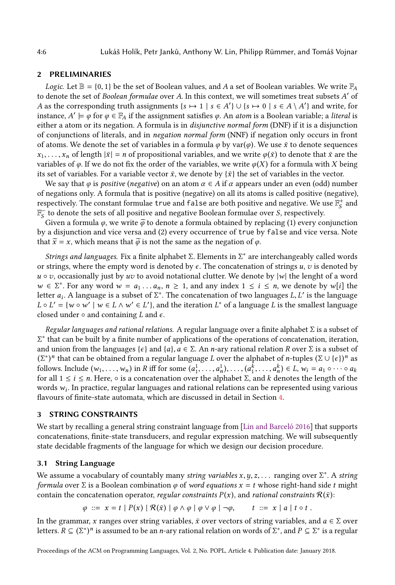# <span id="page-5-0"></span>2 PRELIMINARIES

*Logic.* Let  $\mathbb{B} = \{0, 1\}$  be the set of Boolean values, and A a set of Boolean variables. We write  $\mathbb{F}_A$ to denote the set of Boolean formulae over A. In this context, we will sometimes treat subsets A' of A as the corresponding truth assignments  $\{s \mapsto 1 \mid s \in A'\} \cup \{s \mapsto 0 \mid s \in A \setminus A'\}$  and write, for instance,  $A' \models \varphi$  for  $\varphi \in \mathbb{F}_A$  if the assignment satisfies  $\varphi$ . An *atom* is a Boolean variable; a *literal* is either a atom or its negation. A formula is in disjunctive normal form (DNF) if it is a disjunction of conjunctions of literals, and in negation normal form (NNF) if negation only occurs in front of atoms. We denote the set of variables in a formula  $\varphi$  by var( $\varphi$ ). We use  $\bar{x}$  to denote sequences  $x_1, \ldots, x_n$  of length  $|\bar{x}| = n$  of propositional variables, and we write  $\varphi(\bar{x})$  to denote that  $\bar{x}$  are the variables of  $\varphi$ . If we do not fix the order of the variables, we write  $\varphi(X)$  for a formula with X being its set of variables. For a variable vector  $\bar{x}$ , we denote by  $\{\bar{x}\}\$  the set of variables in the vector.

We say that  $\varphi$  is *positive* (*negative*) on an atom  $\alpha \in A$  if  $\alpha$  appears under an even (odd) number of negations only. A formula that is positive (negative) on all its atoms is called positive (negative), respectively. The constant formulae true and false are both positive and negative. We use  $\mathbb{F}_s^+$  $S^+$  and  $\mathbb{F}^{-}_{S}$  to denote the sets of all positive and negative Boolean formulae over S, respectively.

Given a formula  $\varphi$ , we write  $\tilde{\varphi}$  to denote a formula obtained by replacing (1) every conjunction by a disjunction and vice versa and (2) every occurrence of true by false and vice versa. Note that  $\tilde{x} = x$ , which means that  $\tilde{\varphi}$  is not the same as the negation of  $\varphi$ .

Strings and languages. Fix a finite alphabet Σ. Elements in Σ<sup>\*</sup> are interchangeably called words or strings, where the empty word is denoted by  $\epsilon$ . The concatenation of strings u, v is denoted by  $u \circ v$ , occasionally just by uv to avoid notational clutter. We denote by  $|w|$  the lenght of a word  $w \in \Sigma^*$ . For any word  $w = a_1 \ldots a_n$ ,  $n \ge 1$ , and any index  $1 \le i \le n$ , we denote by w[i] the letter  $a_i$ . A language is a subset of  $\Sigma^*$ . The concatenation of two languages L, L' is the language  $L \circ L' = \{ w \circ w' \mid w \in L \wedge w' \in L' \}$ , and the iteration  $L^*$  of a language L is the smallest language closed under  $\circ$  and containing L and  $\epsilon$ .

Regular languages and rational relations. A regular language over a finite alphabet  $\Sigma$  is a subset of Σ ∗ that can be built by a finite number of applications of the operations of concatenation, iteration, and union from the languages { $\epsilon$ } and {a},  $a \in \Sigma$ . An *n*-ary rational relation R over  $\Sigma$  is a subset of  $(\Sigma^*)^n$  that can be obtained from a regular language L over the alphabet of n-tuples  $(\Sigma \cup \{\epsilon\})^n$  as follows. Include  $(w_1, \ldots, w_n)$  in R iff for some  $(a_1^1, \ldots, a_n^1), \ldots, (a_1^{\overline{k}}, \ldots, a_n^k) \in L$ ,  $w_i = a_1 \circ \cdots \circ a_k$ for all  $1 \le i \le n$ . Here,  $\circ$  is a concatenation over the alphabet  $\Sigma$ , and k denotes the length of the words  $w_i$ . In practice, regular languages and rational relations can be represented using various flavours of finite-state automata, which are discussed in detail in Section [4.](#page-7-0)

#### <span id="page-5-1"></span>3 STRING CONSTRAINTS

We start by recalling a general string constraint language from [\[Lin and Barceló 2016\]](#page-30-8) that supports concatenations, finite-state transducers, and regular expression matching. We will subsequently state decidable fragments of the language for which we design our decision procedure.

#### 3.1 String Language

We assume a vocabulary of countably many string variables  $x, y, z, \ldots$  ranging over  $\Sigma^*$ . A string formula over  $\Sigma$  is a Boolean combination  $\varphi$  of word equations  $x = t$  whose right-hand side t might contain the concatenation operator, *regular constraints*  $P(x)$ , and *rational constraints*  $R(\bar{x})$ :

$$
\varphi \ ::= x = t \mid P(x) \mid \mathcal{R}(\bar{x}) \mid \varphi \wedge \varphi \mid \varphi \vee \varphi \mid \neg \varphi, \qquad t \ ::= x \mid a \mid t \circ t \ .
$$

In the grammar, x ranges over string variables,  $\bar{x}$  over vectors of string variables, and  $a \in \Sigma$  over letters.  $R \subseteq (\Sigma^*)^n$  is assumed to be an *n*-ary rational relation on words of  $\Sigma^*$ , and  $P \subseteq \Sigma^*$  is a regular

Proceedings of the ACM on Programming Languages, Vol. 2, No. POPL, Article 4. Publication date: January 2018.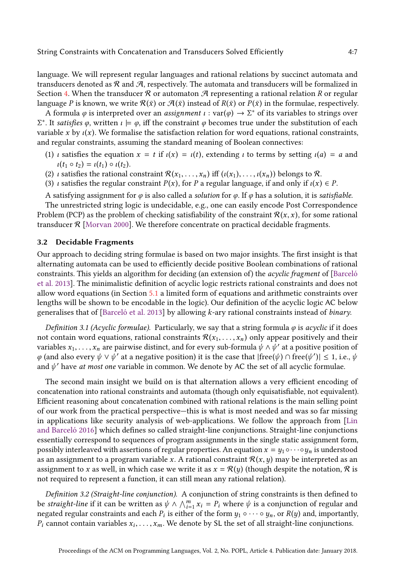language. We will represent regular languages and rational relations by succinct automata and transducers denoted as  $\mathcal R$  and  $\mathcal A$ , respectively. The automata and transducers will be formalized in Section [4.](#page-7-0) When the transducer  $\mathcal R$  or automaton  $\mathcal A$  representing a rational relation R or regular language P is known, we write  $\mathcal{R}(\bar{x})$  or  $\mathcal{A}(\bar{x})$  instead of  $R(\bar{x})$  or  $P(\bar{x})$  in the formulae, respectively.

A formula  $\varphi$  is interpreted over an *assignment*  $\iota : var(\varphi) \to \Sigma^*$  of its variables to strings over  $Σ^*$ . It satisfies φ, written  $ι \models φ$ , iff the constraint φ becomes true under the substitution of each variable x by  $\iota(x)$ . We formalise the satisfaction relation for word equations, rational constraints, and regular constraints, assuming the standard meaning of Boolean connectives:

- (1) *ι* satisfies the equation  $x = t$  if  $\iota(x) = \iota(t)$ , extending *ι* to terms by setting  $\iota(a) = a$  and  $\iota(t_1 \circ t_2) = \iota(t_1) \circ \iota(t_2).$
- (2) *ι* satisfies the rational constraint  $\mathcal{R}(x_1, \ldots, x_n)$  iff  $(\iota(x_1), \ldots, \iota(x_n))$  belongs to  $\mathcal{R}$ .
- (3) *ι* satisfies the regular constraint  $P(x)$ , for P a regular language, if and only if  $\iota(x) \in P$ .

A satisfying assignment for  $\varphi$  is also called a *solution* for  $\varphi$ . If  $\varphi$  has a solution, it is *satisfiable.* 

The unrestricted string logic is undecidable, e.g., one can easily encode Post Correspondence Problem (PCP) as the problem of checking satisfiability of the constraint  $\mathcal{R}(x, x)$ , for some rational transducer  $R$  [\[Morvan 2000\]](#page-30-20). We therefore concentrate on practical decidable fragments.

#### 3.2 Decidable Fragments

Our approach to deciding string formulae is based on two major insights. The first insight is that alternating automata can be used to efficiently decide positive Boolean combinations of rational constraints. This yields an algorithm for deciding (an extension of) the acyclic fragment of [\[Barceló](#page-28-4) [et al.](#page-28-4) [2013\]](#page-28-4). The minimalistic definition of acyclic logic restricts rational constraints and does not allow word equations (in Section [5.1](#page-13-0) a limited form of equations and arithmetic constraints over lengths will be shown to be encodable in the logic). Our definition of the acyclic logic AC below generalises that of [\[Barceló et al. 2013\]](#page-28-4) by allowing k-ary rational constraints instead of binary.

Definition 3.1 (Acyclic formulae). Particularly, we say that a string formula  $\varphi$  is acyclic if it does not contain word equations, rational constraints  $\mathcal{R}(x_1, \ldots, x_n)$  only appear positively and their variables  $x_1, \ldots, x_n$  are pairwise distinct, and for every sub-formula  $\psi \wedge \psi'$  at a positive position of φ (and also every  $ψ ∨ ψ'$  at a negative position) it is the case that  $|free(ψ) ∩ free(ψ')| ≤ 1$ , i.e.,  $ψ$ and  $\psi'$  have at most one variable in common. We denote by AC the set of all acyclic formulae.

The second main insight we build on is that alternation allows a very efficient encoding of concatenation into rational constraints and automata (though only equisatisfiable, not equivalent). Efficient reasoning about concatenation combined with rational relations is the main selling point of our work from the practical perspective–this is what is most needed and was so far missing in applications like security analysis of web-applications. We follow the approach from [\[Lin](#page-30-8) [and Barceló 2016\]](#page-30-8) which defines so called straight-line conjunctions. Straight-line conjunctions essentially correspond to sequences of program assignments in the single static assignment form, possibly interleaved with assertions of regular properties. An equation  $x = y_1 ∘···∘y_n$  is understood as an assignment to a program variable x. A rational constraint  $\mathcal{R}(x, y)$  may be interpreted as an assignment to x as well, in which case we write it as  $x = \mathcal{R}(y)$  (though despite the notation,  $\mathcal R$  is not required to represent a function, it can still mean any rational relation).

Definition 3.2 (Straight-line conjunction). A conjunction of string constraints is then defined to be straight-line if it can be written as  $\psi \wedge \bigwedge_{i=1}^m x_i = P_i$  where  $\psi$  is a conjunction of regular and negated regular constraints and each  $P_i$  is either of the form  $y_1 \circ \cdots \circ y_n$ , or  $R(y)$  and, importantly,  $P_i$  cannot contain variables  $x_i, \ldots, x_m$ . We denote by SL the set of all straight-line conjunctions.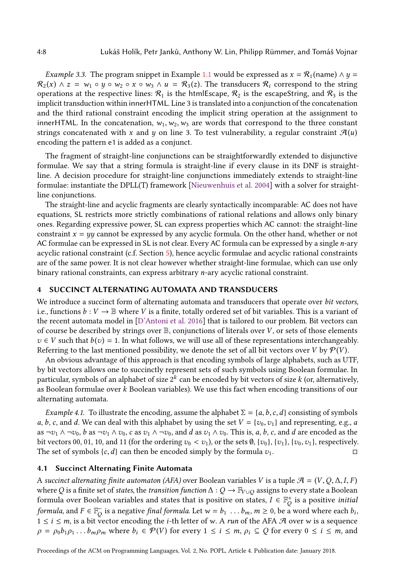<span id="page-7-2"></span>*Example 3.3.* The program snippet in Example [1.1](#page-1-0) would be expressed as  $x = \mathcal{R}_1$  (name)  $\wedge y =$  $\mathcal{R}_2(x) \wedge z = w_1 \circ y \circ w_2 \circ x \circ w_3 \wedge u = \mathcal{R}_3(z)$ . The transducers  $\mathcal{R}_i$  correspond to the string operations at the respective lines:  $\mathcal{R}_1$  is the htmlEscape,  $\mathcal{R}_2$  is the escapeString, and  $\mathcal{R}_3$  is the implicit transduction within innerHTML. Line 3 is translated into a conjunction of the concatenation and the third rational constraint encoding the implicit string operation at the assignment to innerHTML. In the concatenation,  $w_1, w_2, w_3$  are words that correspond to the three constant strings concatenated with x and y on line 3. To test vulnerability, a regular constraint  $\mathcal{A}(u)$ encoding the pattern e1 is added as a conjunct.

The fragment of straight-line conjunctions can be straightforwardly extended to disjunctive formulae. We say that a string formula is straight-line if every clause in its DNF is straightline. A decision procedure for straight-line conjunctions immediately extends to straight-line formulae: instantiate the DPLL(T) framework [\[Nieuwenhuis et al.](#page-30-21) [2004\]](#page-30-21) with a solver for straightline conjunctions.

The straight-line and acyclic fragments are clearly syntactically incomparable: AC does not have equations, SL restricts more strictly combinations of rational relations and allows only binary ones. Regarding expressive power, SL can express properties which AC cannot: the straight-line constraint  $x = yy$  cannot be expressed by any acyclic formula. On the other hand, whether or not AC formulae can be expressed in SL is not clear. Every AC formula can be expressed by a single n-ary acyclic rational constraint (c.f. Section [5\)](#page-11-0), hence acyclic formulae and acyclic rational constraints are of the same power. It is not clear however whether straight-line formulae, which can use only binary rational constraints, can express arbitrary n-ary acyclic rational constraint.

## <span id="page-7-0"></span>4 SUCCINCT ALTERNATING AUTOMATA AND TRANSDUCERS

We introduce a succinct form of alternating automata and transducers that operate over bit vectors, i.e., functions  $b: V \to \mathbb{B}$  where V is a finite, totally ordered set of bit variables. This is a variant of the recent automata model in [\[D'Antoni et al.](#page-29-18) [2016\]](#page-29-18) that is tailored to our problem. Bit vectors can of course be described by strings over  $\mathbb{B}$ , conjunctions of literals over V, or sets of those elements  $v \in V$  such that  $b(v) = 1$ . In what follows, we will use all of these representations interchangeably. Referring to the last mentioned possibility, we denote the set of all bit vectors over V by  $\mathcal{P}(V)$ .

An obvious advantage of this approach is that encoding symbols of large alphabets, such as UTF, by bit vectors allows one to succinctly represent sets of such symbols using Boolean formulae. In particular, symbols of an alphabet of size  $2^k$  can be encoded by bit vectors of size  $k$  (or, alternatively, as Boolean formulae over k Boolean variables). We use this fact when encoding transitions of our alternating automata.

<span id="page-7-1"></span>Example 4.1. To illustrate the encoding, assume the alphabet  $\Sigma = \{a, b, c, d\}$  consisting of symbols a, b, c, and d. We can deal with this alphabet by using the set  $V = \{v_0, v_1\}$  and representing, e.g., a as  $\neg v_1 \wedge \neg v_0$ , b as  $\neg v_1 \wedge v_0$ , c as  $v_1 \wedge \neg v_0$ , and d as  $v_1 \wedge v_0$ . This is, a, b, c, and d are encoded as the bit vectors 00, 01, 10, and 11 (for the ordering  $v_0 < v_1$ ), or the sets  $\emptyset$ ,  $\{v_0\}$ ,  $\{v_1\}$ ,  $\{v_0, v_1\}$ , respectively. The set of symbols  $\{c, d\}$  can then be encoded simply by the formula  $v_1$ .

#### 4.1 Succinct Alternating Finite Automata

A succinct alternating finite automaton (AFA) over Boolean variables V is a tuple  $\mathcal{A} = (V, Q, \Delta, I, F)$ where  $Q$  is a finite set of *states*, the *transition function*  $\Delta:Q\to\mathbb F_{V\cup Q}$  assigns to every state a Boolean formula over Boolean variables and states that is positive on states,  $I \in \mathbb{F}_Q^+$  $\stackrel{\scriptscriptstyle{0}}{Q}$  is a positive *initial* formula, and  $F\in\mathbb{F}_Q^-$  is a negative final formula. Let  $w=b_1\,\dots b_m,$   $m\geq 0,$  be a word where each  $b_i,$  $1 \le i \le m$ , is a bit vector encoding the *i*-th letter of w. A *run* of the AFA  $\mathcal{A}$  over w is a sequence  $\rho = \rho_0 b_1 \rho_1 \dots b_m \rho_m$  where  $b_i \in \mathcal{P}(V)$  for every  $1 \le i \le m$ ,  $\rho_i \subseteq Q$  for every  $0 \le i \le m$ , and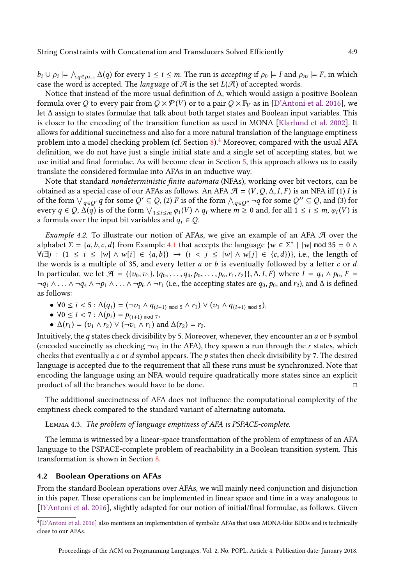$b_i \cup \rho_i \models \bigwedge_{q \in \rho_{i-1}} \Delta(q)$  for every  $1 \leq i \leq m$ . The run is accepting if  $\rho_0 \models I$  and  $\rho_m \models F$ , in which case the word is accepted. The *language* of  $\mathcal A$  is the set  $L(\mathcal A)$  of accepted words.

Notice that instead of the more usual definition of ∆, which would assign a positive Boolean formula over Q to every pair from  $Q \times \mathcal{P}(V)$  or to a pair  $Q \times \mathbb{F}_V$  as in [\[D'Antoni et al.](#page-29-18) [2016\]](#page-29-18), we let ∆ assign to states formulae that talk about both target states and Boolean input variables. This is closer to the encoding of the transition function as used in MONA [\[Klarlund et al.](#page-30-16) [2002\]](#page-30-16). It allows for additional succinctness and also for a more natural translation of the language emptiness problem into a model checking problem (cf. Section  $8$ ).<sup>[4](#page-8-0)</sup> Moreover, compared with the usual AFA definition, we do not have just a single initial state and a single set of accepting states, but we use initial and final formulae. As will become clear in Section [5,](#page-11-0) this approach allows us to easily translate the considered formulae into AFAs in an inductive way.

Note that standard nondeterministic finite automata (NFAs), working over bit vectors, can be obtained as a special case of our AFAs as follows. An AFA  $\mathcal{A} = (V, Q, \Delta, I, F)$  is an NFA iff (1) I is of the form  $\bigvee_{q\in Q'} q$  for some  $Q'\subseteq Q$ , (2) F is of the form  $\bigwedge_{q\in Q''}\neg q$  for some  $Q''\subseteq Q$ , and (3) for every  $q \in Q$ ,  $\Delta(q)$  is of the form  $\bigvee_{1 \leq i \leq m} \varphi_i(V) \wedge q_i$  where  $m \geq 0$  and, for all  $1 \leq i \leq m$ ,  $\varphi_i(V)$  is a formula over the input bit variables and  $q_i \in Q$ .

<span id="page-8-1"></span>*Example 4.2.* To illustrate our notion of AFAs, we give an example of an AFA  $\mathcal A$  over the alphabet  $\Sigma = \{a, b, c, d\}$  from Example [4.1](#page-7-1) that accepts the language  $\{w \in \Sigma^* \mid |w| \text{ mod } 35 = 0 \land \Sigma^* \}$  $\forall i \exists j : (1 \le i \le |\mathcal{w}| \land \mathcal{w}[i] \in \{a, b\}) \rightarrow (i \le j \le |\mathcal{w}| \land \mathcal{w}[j] \in \{c, d\})\}$ , i.e., the length of the words is a multiple of 35, and every letter  $a$  or  $b$  is eventually followed by a letter  $c$  or  $d$ . In particular, we let  $\mathcal{A} = (\{v_0, v_1\}, \{q_0, \ldots, q_4, p_0, \ldots, p_6, r_1, r_2\}), \Delta, I, F)$  where  $I = q_0 \wedge p_0, F =$  $\neg q_1 \wedge \ldots \wedge \neg q_4 \wedge \neg p_1 \wedge \ldots \wedge \neg p_6 \wedge \neg r_1$  (i.e., the accepting states are  $q_0, p_0$ , and  $r_2$ ), and  $\Delta$  is defined as follows:

- $\forall 0 \le i < 5 : \Delta(q_i) = (\neg v_1 \wedge q_{(i+1) \mod 5} \wedge r_1) \vee (v_1 \wedge q_{(i+1) \mod 5}),$
- $\forall 0 \le i < 7 : \Delta(p_i) = p_{(i+1) \mod 7}$
- $\Delta(r_1) = (v_1 \wedge r_2) \vee (\neg v_1 \wedge r_1)$  and  $\Delta(r_2) = r_2$ .

Intuitively, the q states check divisibility by 5. Moreover, whenever, they encounter an  $a$  or  $b$  symbol (encoded succinctly as checking  $\neg v_1$  in the AFA), they spawn a run through the r states, which checks that eventually a c or  $d$  symbol appears. The  $p$  states then check divisibility by 7. The desired language is accepted due to the requirement that all these runs must be synchronized. Note that encoding the language using an NFA would require quadratically more states since an explicit product of all the branches would have to be done.  $□$ 

The additional succinctness of AFA does not influence the computational complexity of the emptiness check compared to the standard variant of alternating automata.

#### Lemma 4.3. The problem of language emptiness of AFA is PSPACE-complete.

The lemma is witnessed by a linear-space transformation of the problem of emptiness of an AFA language to the PSPACE-complete problem of reachability in a Boolean transition system. This transformation is shown in Section [8.](#page-20-0)

# <span id="page-8-2"></span>4.2 Boolean Operations on AFAs

From the standard Boolean operations over AFAs, we will mainly need conjunction and disjunction in this paper. These operations can be implemented in linear space and time in a way analogous to [\[D'Antoni et al.](#page-29-18) [2016\]](#page-29-18), slightly adapted for our notion of initial/final formulae, as follows. Given

<span id="page-8-0"></span><sup>4</sup> [\[D'Antoni et al.](#page-29-18) [2016\]](#page-29-18) also mentions an implementation of symbolic AFAs that uses MONA-like BDDs and is technically close to our AFAs.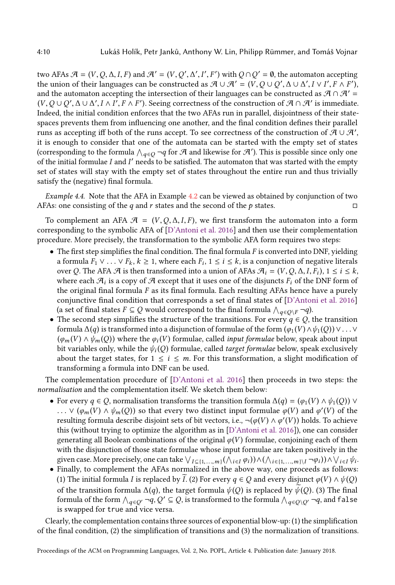two AFAs  $\mathcal{A} = (V, Q, \Delta, I, F)$  and  $\mathcal{A}' = (V, Q', \Delta', I', F')$  with  $Q \cap Q' = \emptyset$ , the automaton accepting the union of their languages can be constructed as  $\mathcal{A}\cup\mathcal{A}'=(V,Q\cup Q',\Delta\cup\Delta',I\vee I',F\wedge F'),$ and the automaton accepting the intersection of their languages can be constructed as  $\mathcal{A} \cap \mathcal{A}' =$  $(V, Q \cup Q', \Delta \cup \Delta', I \wedge I', F \wedge F')$ . Seeing correctness of the construction of  $\mathcal{A} \cap \mathcal{A}'$  is immediate. Indeed, the initial condition enforces that the two AFAs run in parallel, disjointness of their statespaces prevents them from influencing one another, and the final condition defines their parallel runs as accepting iff both of the runs accept. To see correctness of the construction of  $\bar{\mathcal{A}}\cup\mathcal{A}',$ it is enough to consider that one of the automata can be started with the empty set of states (corresponding to the formula  $\bigwedge_{q\in Q}\neg q$  for  $\mathcal A$  and likewise for  $\mathcal A'$ ). This is possible since only one of the initial formulae  $I$  and  $I'$  needs to be satisfied. The automaton that was started with the empty set of states will stay with the empty set of states throughout the entire run and thus trivially satisfy the (negative) final formula.

Example 4.4. Note that the AFA in Example [4.2](#page-8-1) can be viewed as obtained by conjunction of two AFAs: one consisting of the q and r states and the second of the p states.  $\Box$ 

To complement an AFA  $\mathcal{A} = (V, Q, \Delta, I, F)$ , we first transform the automaton into a form corresponding to the symbolic AFA of [\[D'Antoni et al.](#page-29-18) [2016\]](#page-29-18) and then use their complementation procedure. More precisely, the transformation to the symbolic AFA form requires two steps:

- $\bullet$  The first step simplifies the final condition. The final formula F is converted into DNF, yielding a formula  $F_1 \vee \ldots \vee F_k$ ,  $k \geq 1$ , where each  $F_i$ ,  $1 \leq i \leq k$ , is a conjunction of negative literals over Q. The AFA  $\mathcal A$  is then transformed into a union of AFAs  $\mathcal A_i = (V,Q,\Delta,I,F_i),$   $1 \leq i \leq k$ , where each  $\mathcal{A}_i$  is a copy of  $\mathcal A$  except that it uses one of the disjuncts  $F_i$  of the DNF form of the original final formula  $F$  as its final formula. Each resulting AFAs hence have a purely conjunctive final condition that corresponds a set of final states of [\[D'Antoni et al.](#page-29-18) [2016\]](#page-29-18) (a set of final states  $F \subseteq Q$  would correspond to the final formula  $\bigwedge_{q \in Q \setminus F} \neg q$ ).
- The second step simplifies the structure of the transitions. For every  $q \in Q$ , the transition formula  $\Delta(q)$  is transformed into a disjunction of formulae of the form  $(\varphi_1(V) \wedge \psi_1(Q)) \vee \ldots \vee$  $(\varphi_m(V) \wedge \psi_m(Q))$  where the  $\varphi_i(V)$  formulae, called *input formulae* below, speak about input bit variables only, while the  $\psi_i(Q)$  formulae, called *target formulae* below, speak exclusively about the target states, for  $1 \le i \le m$ . For this transformation, a slight modification of transforming a formula into DNF can be used.

The complementation procedure of [\[D'Antoni et al.](#page-29-18) [2016\]](#page-29-18) then proceeds in two steps: the normalisation and the complementation itself. We sketch them below:

- For every  $q \in Q$ , normalisation transforms the transition formula  $\Delta(q) = (\varphi_1(V) \wedge \psi_1(Q)) \vee$ ...  $\vee$  ( $\varphi_m(V) \wedge \psi_m(Q)$ ) so that every two distinct input formulae  $\varphi(V)$  and  $\varphi'(V)$  of the resulting formula describe disjoint sets of bit vectors, i.e., ¬ $(\varphi(V) \land \varphi'(V))$  holds. To achieve this (without trying to optimize the algorithm as in [\[D'Antoni et al.](#page-29-18) [2016\]](#page-29-18)), one can consider generating all Boolean combinations of the original  $\varphi(V)$  formulae, conjoining each of them with the disjunction of those state formulae whose input formulae are taken positively in the given case. More precisely, one can take  $\bigvee_{I\subseteq \{1,\dots,m\}} (\bigwedge_{i\in I}\phi_i))\wedge (\bigwedge_{i\in \{1,\dots,m\}\setminus I}\neg\phi_i))\wedge \bigvee_{i\in I}\psi_i.$
- Finally, to complement the AFAs normalized in the above way, one proceeds as follows: (1) The initial formula *I* is replaced by *I*. (2) For every  $q \in Q$  and every disjunct  $\varphi(V) \wedge \psi(Q)$ of the transition formula  $\Delta(q)$ , the target formula  $\psi(Q)$  is replaced by  $\psi(Q)$ . (3) The final formula of the form  $\bigwedge_{q\in Q'}\neg q,Q'\subseteq Q,$  is transformed to the formula  $\bigwedge_{q\in Q\setminus Q'}\neg q,$  and <code>false</code> is swapped for true and vice versa.

Clearly, the complementation contains three sources of exponential blow-up: (1) the simplification of the final condition, (2) the simplification of transitions and (3) the normalization of transitions.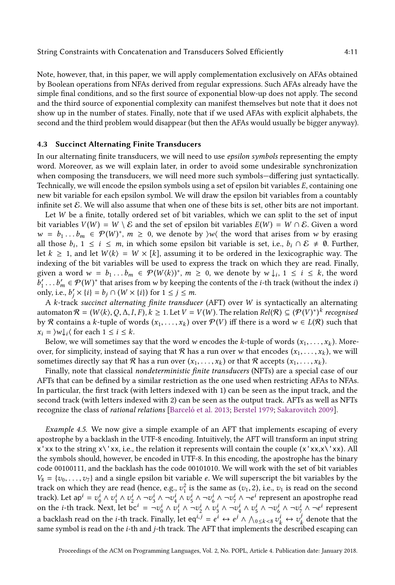Note, however, that, in this paper, we will apply complementation exclusively on AFAs obtained by Boolean operations from NFAs derived from regular expressions. Such AFAs already have the simple final conditions, and so the first source of exponential blow-up does not apply. The second and the third source of exponential complexity can manifest themselves but note that it does not show up in the number of states. Finally, note that if we used AFAs with explicit alphabets, the second and the third problem would disappear (but then the AFAs would usually be bigger anyway).

# 4.3 Succinct Alternating Finite Transducers

In our alternating finite transducers, we will need to use epsilon symbols representing the empty word. Moreover, as we will explain later, in order to avoid some undesirable synchronization when composing the transducers, we will need more such symbols-differing just syntactically. Technically, we will encode the epsilon symbols using a set of epsilon bit variables E, containing one new bit variable for each epsilon symbol. We will draw the epsilon bit variables from a countably infinite set E. We will also assume that when one of these bits is set, other bits are not important.

Let  $W$  be a finite, totally ordered set of bit variables, which we can split to the set of input bit variables  $V(W) = W \setminus \mathcal{E}$  and the set of epsilon bit variables  $E(W) = W \cap \mathcal{E}$ . Given a word  $w = b_1 \dots b_m \in \mathcal{P}(W)^*$ ,  $m \geq 0$ , we denote by  $\mathcal{W}(\mathcal{P}(W))$  the word that arises from w by erasing all those  $b_i$ , 1 ≤ *i* ≤ *m*, in which some epsilon bit variable is set, i.e.,  $b_i \cap \mathcal{E} \neq \emptyset$ . Further, let  $k \geq 1$ , and let  $W(k) = W \times [k]$ , assuming it to be ordered in the lexicographic way. The indexing of the bit variables will be used to express the track on which they are read. Finally, given a word  $w = b_1 ... b_m \in \mathcal{P}(W\langle k \rangle)^*$ ,  $m \geq 0$ , we denote by  $w \downarrow_i$ ,  $1 \leq i \leq k$ , the word  $b'_1 \ldots b'_m \in \mathcal{P}(W)^*$  that arises from w by keeping the contents of the *i*-th track (without the index *i*) only, i.e.,  $b'_j \times \{i\} = b_j \cap (W \times \{i\})$  for  $1 \le j \le m$ .

A k-track succinct alternating finite transducer (AFT) over W is syntactically an alternating automaton  $\mathcal{R}=(W\langle k\rangle,\mathcal{Q},\Delta,I,F), k\geq 1.$  Let  $V=V(W)$ . The relation  $Rel(\mathcal{R})\subseteq (\mathcal{P}(V)^*)^k$  recognised by R contains a k-tuple of words  $(x_1, \ldots, x_k)$  over  $\mathcal{P}(V)$  iff there is a word  $w \in L(\mathcal{R})$  such that  $x_i = \forall w \downarrow_i \langle \text{ for each } 1 \leq i \leq k.$ 

Below, we will sometimes say that the word w encodes the k-tuple of words  $(x_1, \ldots, x_k)$ . Moreover, for simplicity, instead of saying that R has a run over w that encodes  $(x_1, \ldots, x_k)$ , we will sometimes directly say that R has a run over  $(x_1, \ldots, x_k)$  or that R accepts  $(x_1, \ldots, x_k)$ .

Finally, note that classical nondeterministic finite transducers (NFTs) are a special case of our AFTs that can be defined by a similar restriction as the one used when restricting AFAs to NFAs. In particular, the first track (with letters indexed with 1) can be seen as the input track, and the second track (with letters indexed with 2) can be seen as the output track. AFTs as well as NFTs recognize the class of rational relations [\[Barceló et al. 2013;](#page-28-4) [Berstel 1979;](#page-28-6) [Sakarovitch 2009\]](#page-30-15).

Example 4.5. We now give a simple example of an AFT that implements escaping of every apostrophe by a backlash in the UTF-8 encoding. Intuitively, the AFT will transform an input string  $x'$ xx to the string  $x'\cdot xx$ , i.e., the relation it represents will contain the couple  $(x'xx,x'\cdot xx)$ . All the symbols should, however, be encoded in UTF-8. In this encoding, the apostrophe has the binary code 00100111, and the backlash has the code 00101010. We will work with the set of bit variables  $V_8 = \{v_0, \ldots, v_7\}$  and a single epsilon bit variable e. We will superscript the bit variables by the track on which they are read (hence, e.g.,  $v_1^2$  is the same as  $(v_1, 2)$ , i.e.,  $v_1$  is read on the second track). Let ap $i = v_0^i \wedge v_1^i \wedge v_2^i \wedge \neg v_3^i \wedge \neg v_4^i \wedge v_5^i \wedge \neg v_6^i \wedge \neg v_7^i \wedge \neg e^i$  represent an apostrophe read on the *i*-th track. Next, let  $bc^i = \neg v_0^i \wedge v_1^i \wedge \neg v_2^i \wedge v_3^i \wedge \neg v_4^i \wedge v_5^i \wedge \neg v_6^i \wedge \neg v_7^i \wedge \neg e^i$  represent a backlash read on the *i*-th track. Finally, let eq<sup>*i,j*</sup> =  $e^i \leftrightarrow e^j \land \bigwedge_{0 \leq k < 8} v^i_k \leftrightarrow v^j_k$  $\frac{d}{k}$  denote that the same symbol is read on the *i*-th and *j*-th track. The AFT that implements the described escaping can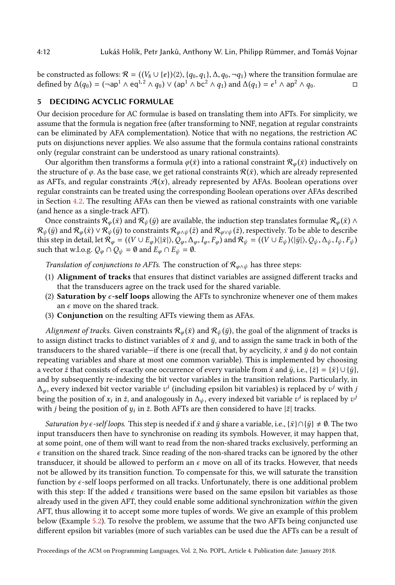be constructed as follows:  $\mathcal{R} = ((V_8 \cup \{e\})\langle 2\rangle, \{q_0, q_1\}, \Delta, q_0, \neg q_1)$  where the transition formulae are defined by  $\Delta(q_0) = (\neg \text{ap}^1 \wedge \text{eq}^{1,2} \wedge q_0) \vee (\text{ap}^1 \wedge \text{bc}^2 \wedge q_1)$  and  $\Delta(q_1) = e^1 \wedge \text{ap}^2 \wedge q_0$ .

# <span id="page-11-0"></span>5 DECIDING ACYCLIC FORMULAE

Our decision procedure for AC formulae is based on translating them into AFTs. For simplicity, we assume that the formula is negation free (after transforming to NNF, negation at regular constraints can be eliminated by AFA complementation). Notice that with no negations, the restriction AC puts on disjunctions never applies. We also assume that the formula contains rational constraints only (regular constraint can be understood as unary rational constraints).

Our algorithm then transforms a formula  $\varphi(\bar{x})$  into a rational constraint  $\mathcal{R}_{\varphi}(\bar{x})$  inductively on the structure of  $\varphi$ . As the base case, we get rational constraints  $\mathcal{R}(\bar{x})$ , which are already represented as AFTs, and regular constraints  $\mathcal{A}(x)$ , already represented by AFAs. Boolean operations over regular constraints can be treated using the corresponding Boolean operations over AFAs described in Section [4.2.](#page-8-2) The resulting AFAs can then be viewed as rational constraints with one variable (and hence as a single-track AFT).

Once constraints  $\mathcal{R}_{\varphi}(\bar{x})$  and  $\mathcal{R}_{\psi}(\bar{y})$  are available, the induction step translates formulae  $\mathcal{R}_{\varphi}(\bar{x}) \wedge$  $\mathcal{R}_{\psi}(\bar{y})$  and  $\mathcal{R}_{\phi}(\bar{x}) \vee \mathcal{R}_{\psi}(\bar{y})$  to constraints  $\mathcal{R}_{\phi \wedge \psi}(\bar{z})$  and  $\mathcal{R}_{\phi \vee \psi}(\bar{z})$ , respectively. To be able to describe this step in detail, let  $\mathcal{R}_{\varphi} = ((V \cup E_{\varphi})\langle |\bar{x}| \rangle, Q_{\varphi}, \Delta_{\varphi}, I_{\varphi}, F_{\varphi})$  and  $\mathcal{R}_{\psi} = ((V \cup E_{\psi})\langle |\bar{y}| \rangle, Q_{\psi}, \Delta_{\psi}, I_{\psi}, F_{\psi})$ such that w.l.o.g.  $Q_{\varphi} \cap Q_{\psi} = \emptyset$  and  $E_{\varphi} \cap E_{\psi} = \emptyset$ .

Translation of conjunctions to AFTs. The construction of  $\mathcal{R}_{\varphi \wedge \psi}$  has three steps:

- (1) Alignment of tracks that ensures that distinct variables are assigned different tracks and that the transducers agree on the track used for the shared variable.
- (2) Saturation by  $\epsilon$ -self loops allowing the AFTs to synchronize whenever one of them makes an  $\epsilon$  move on the shared track.
- (3) Conjunction on the resulting AFTs viewing them as AFAs.

Alignment of tracks. Given constraints  $\mathcal{R}_{\varphi}(\bar{x})$  and  $\mathcal{R}_{\psi}(\bar{y})$ , the goal of the alignment of tracks is to assign distinct tracks to distinct variables of  $\bar{x}$  and  $\bar{y}$ , and to assign the same track in both of the transducers to the shared variable—if there is one (recall that, by acyclicity,  $\bar{x}$  and  $\bar{y}$  do not contain repeating variables and share at most one common variable). This is implemented by choosing a vector  $\bar{z}$  that consists of exactly one occurrence of every variable from  $\bar{x}$  and  $\bar{y}$ , i.e.,  $\{\bar{z}\} = {\{\bar{x}\}} \cup {\{\bar{y}\}},$ and by subsequently re-indexing the bit vector variables in the transition relations. Particularly, in  $\Delta_\varphi,$  every indexed bit vector variable  $v^i$  (including epsilon bit variables) is replaced by  $v^j$  with  $j$ being the position of  $x_i$  in  $\bar z$ , and analogously in  $\Delta_\psi$ , every indexed bit variable  $v^i$  is replaced by  $v^j$ with *j* being the position of  $y_i$  in  $\bar{z}$ . Both AFTs are then considered to have  $|\bar{z}|$  tracks.

*Saturation by*  $\epsilon$ *-self loops.* This step is needed if  $\bar{x}$  and  $\bar{y}$  share a variable, i.e.,  $\{\bar{x}\} \cap \{\bar{y}\} \neq \emptyset$ . The two input transducers then have to synchronise on reading its symbols. However, it may happen that, at some point, one of them will want to read from the non-shared tracks exclusively, performing an  $\epsilon$  transition on the shared track. Since reading of the non-shared tracks can be ignored by the other transducer, it should be allowed to perform an  $\epsilon$  move on all of its tracks. However, that needs not be allowed by its transition function. To compensate for this, we will saturate the transition function by  $\epsilon$ -self loops performed on all tracks. Unfortunately, there is one additional problem with this step: If the added  $\epsilon$  transitions were based on the same epsilon bit variables as those already used in the given AFT, they could enable some additional synchronization within the given AFT, thus allowing it to accept some more tuples of words. We give an example of this problem below (Example [5.2\)](#page-12-0). To resolve the problem, we assume that the two AFTs being conjuncted use different epsilon bit variables (more of such variables can be used due the AFTs can be a result of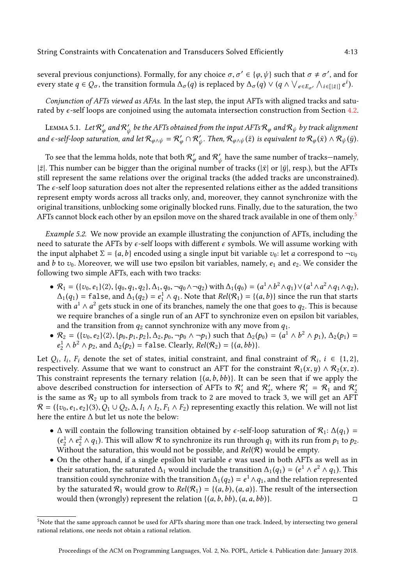several previous conjunctions). Formally, for any choice  $\sigma, \sigma' \in \{\varphi, \psi\}$  such that  $\sigma \neq \sigma'$ , and for every state  $q \in Q_{\sigma}$ , the transition formula  $\Delta_{\sigma}(q)$  is replaced by  $\Delta_{\sigma}(q) \vee (q \wedge \vee_{e \in E_{\sigma'}} \wedge_{i \in [|\bar{z}|]} e^{i}).$ 

Conjunction of AFTs viewed as AFAs. In the last step, the input AFTs with aligned tracks and saturated by  $\epsilon$ -self loops are conjoined using the automata intersection construction from Section [4.2.](#page-8-2)

LEMMA 5.1.  $\,$  Let  $\mathcal{R}'_\varphi$  and  $\mathcal{R}'_\psi$  be the AFTs obtained from the input AFTs  $\mathcal{R}_\varphi$  and  $\mathcal{R}_\psi$  by track alignment and  $\epsilon$ -self-loop saturation, and let  $\mathcal{R}_{\varphi\wedge\psi}=\mathcal{R}'_\varphi\cap\mathcal{R}'_\psi$ . Then,  $\mathcal{R}_{\varphi\wedge\psi}(\bar{z})$  is equivalent to  $\mathcal{R}_\varphi(\bar{x})\wedge\mathcal{R}_\psi(\bar{y})$ .

To see that the lemma holds, note that both  $\mathcal{R}'_\varphi$  and  $\mathcal{R}'_\psi$  have the same number of tracks—namely, | $\bar{z}$ |. This number can be bigger than the original number of tracks ( $|\bar{x}|$  or  $|\bar{y}|$ , resp.), but the AFTs still represent the same relations over the original tracks (the added tracks are unconstrained). The  $\epsilon$ -self loop saturation does not alter the represented relations either as the added transitions represent empty words across all tracks only, and, moreover, they cannot synchronize with the original transitions, unblocking some originally blocked runs. Finally, due to the saturation, the two AFTs cannot block each other by an epsilon move on the shared track available in one of them only.<sup>[5](#page-12-1)</sup>

<span id="page-12-0"></span>Example 5.2. We now provide an example illustrating the conjunction of AFTs, including the need to saturate the AFTs by  $\epsilon$ -self loops with different  $\epsilon$  symbols. We will assume working with the input alphabet  $\Sigma = \{a, b\}$  encoded using a single input bit variable  $v_0$ : let a correspond to  $\neg v_0$ and b to  $v_0$ . Moreover, we will use two epsilon bit variables, namely,  $e_1$  and  $e_2$ . We consider the following two simple AFTs, each with two tracks:

- $R_1 = (\{v_0, e_1\} \langle 2\rangle, \{q_0, q_1, q_2\}, \Delta_1, q_0, \neg q_0 \wedge \neg q_2)$  with  $\Delta_1(q_0) = (a^1 \wedge b^2 \wedge q_1) \vee (a^1 \wedge a^2 \wedge q_1 \wedge q_2)$ ,  $\Delta_1(q_1)$  = false, and  $\Delta_1(q_2) = e_1^1 \wedge q_1$ . Note that  $Rel(\mathcal{R}_1) = \{(a, b)\}$  since the run that starts with  $a^1 \wedge a^2$  gets stuck in one of its branches, namely the one that goes to  $q_2$ . This is because we require branches of a single run of an AFT to synchronize even on epsilon bit variables, and the transition from  $q_2$  cannot synchronize with any move from  $q_1$ .
- $\mathcal{R}_2 = (\{v_0, e_2\} \langle 2 \rangle, \{p_0, p_1, p_2\}, \Delta_2, p_0, \neg p_0 \wedge \neg p_1)$  such that  $\Delta_2(p_0) = (a^1 \wedge b^2 \wedge p_1), \Delta_2(p_1) =$  $e_2^1 \wedge b^2 \wedge p_2$ , and  $\Delta_2(p_2)$  = false. Clearly,  $Rel(R_2) = \{(a, bb)\}.$

Let  $Q_i$ ,  $I_i$ ,  $F_i$  denote the set of states, initial constraint, and final constraint of  $\mathcal{R}_i$ ,  $i \in \{1,2\}$ , respectively. Assume that we want to construct an AFT for the constraint  $\mathcal{R}_1(x,y) \wedge \mathcal{R}_2(x,z)$ . This constraint represents the ternary relation  $\{(a,b,bb)\}$ . It can be seen that if we apply the above described construction for intersection of AFTs to  $\mathcal{R}'_1$  and  $\mathcal{R}'_2$ , where  $\mathcal{R}'_1 = \mathcal{R}_1$  and  $\mathcal{R}'_2$ is the same as  $\mathcal{R}_2$  up to all symbols from track to 2 are moved to track 3, we will get an AFT  $\mathcal{R} = (\{v_0, e_1, e_2\}\langle 3\rangle, Q_1 \cup Q_2, \Delta, I_1 \wedge I_2, F_1 \wedge F_2)$  representing exactly this relation. We will not list here the entire ∆ but let us note the below:

- ∆ will contain the following transition obtained by  $\epsilon$ -self-loop saturation of  $\mathcal{R}_1$ :  $\Delta(q_1)$  =  $(e_2^1 \wedge e_2^2 \wedge q_1)$ . This will allow  $\mathcal R$  to synchronize its run through  $q_1$  with its run from  $p_1$  to  $p_2$ . Without the saturation, this would not be possible, and  $Rel(R)$  would be empty.
- On the other hand, if a single epsilon bit variable  $e$  was used in both AFTs as well as in their saturation, the saturated  $\Delta_1$  would include the transition  $\Delta_1(q_1) = (e^1 \wedge e^2 \wedge q_1)$ . This transition could synchronize with the transition  $\Delta_1(q_2) = e^1 \wedge q_1$ , and the relation represented by the saturated  $\mathcal{R}_1$  would grow to  $Rel(\mathcal{R}_1) = \{(a, b), (a, a)\}\$ . The result of the intersection would then (wrongly) represent the relation  $\{(a, b, bb), (a, a, bb)\}.$

<span id="page-12-1"></span><sup>5</sup>Note that the same approach cannot be used for AFTs sharing more than one track. Indeed, by intersecting two general rational relations, one needs not obtain a rational relation.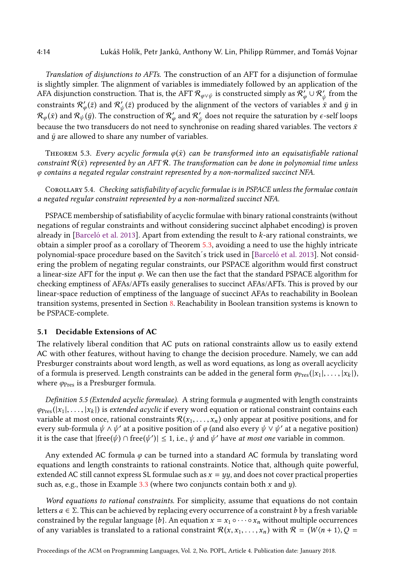Translation of disjunctions to AFTs. The construction of an AFT for a disjunction of formulae is slightly simpler. The alignment of variables is immediately followed by an application of the AFA disjunction construction. That is, the AFT  $\cal R_{\varphi \lor \psi}$  is constructed simply as  $\cal R'_\varphi \cup \cal R'_\psi$  from the constraints  $\mathcal{R}'_\varphi(\bar{z})$  and  $\mathcal{R}'_\psi(\bar{z})$  produced by the alignment of the vectors of variables  $\bar{x}$  and  $\bar{y}$  in  $\mathcal{R}_\varphi(\bar x)$  and  $\mathcal{R}_\psi'(\bar y)$ . The construction of  $\mathcal{R}'_\varphi$  and  $\mathcal{R}'_\psi$  does not require the saturation by  $\epsilon$ -self loops because the two transducers do not need to synchronise on reading shared variables. The vectors  $\bar{x}$ and  $\bar{y}$  are allowed to share any number of variables.

<span id="page-13-1"></span>THEOREM 5.3. Every acyclic formula  $\varphi(\bar{x})$  can be transformed into an equisatisfiable rational constraint  $\mathcal{R}(\bar{x})$  represented by an AFT R. The transformation can be done in polynomial time unless φ contains a negated regular constraint represented by a non-normalized succinct NFA.

<span id="page-13-2"></span>Corollary 5.4. Checking satisfiability of acyclic formulae is in PSPACE unless the formulae contain a negated regular constraint represented by a non-normalized succinct NFA.

PSPACE membership of satisfiability of acyclic formulae with binary rational constraints (without negations of regular constraints and without considering succinct alphabet encoding) is proven already in [\[Barceló et al.](#page-28-4) [2013\]](#page-28-4). Apart from extending the result to k-ary rational constraints, we obtain a simpler proof as a corollary of Theorem [5.3,](#page-13-1) avoiding a need to use the highly intricate polynomial-space procedure based on the Savitch´s trick used in [\[Barceló et al.](#page-28-4) [2013\]](#page-28-4). Not considering the problem of negating regular constraints, our PSPACE algorithm would first construct a linear-size AFT for the input  $\varphi$ . We can then use the fact that the standard PSPACE algorithm for checking emptiness of AFAs/AFTs easily generalises to succinct AFAs/AFTs. This is proved by our linear-space reduction of emptiness of the language of succinct AFAs to reachability in Boolean transition systems, presented in Section [8.](#page-20-0) Reachability in Boolean transition systems is known to be PSPACE-complete.

# <span id="page-13-0"></span>5.1 Decidable Extensions of AC

The relatively liberal condition that AC puts on rational constraints allow us to easily extend AC with other features, without having to change the decision procedure. Namely, we can add Presburger constraints about word length, as well as word equations, as long as overall acyclicity of a formula is preserved. Length constraints can be added in the general form  $\varphi_{\text{Pres}}(|x_1|, \ldots, |x_k|)$ , where  $\varphi$ <sub>Pres</sub> is a Presburger formula.

Definition 5.5 (Extended acyclic formulae). A string formula  $\varphi$  augmented with length constraints  $\varphi_{\text{Pres}}(|x_1|, \ldots, |x_k|)$  is extended acyclic if every word equation or rational constraint contains each variable at most once, rational constraints  $\mathcal{R}(x_1, \ldots, x_n)$  only appear at positive positions, and for every sub-formula  $\psi \wedge \psi'$  at a positive position of  $\varphi$  (and also every  $\psi \vee \psi'$  at a negative position) it is the case that  $|free(\psi) \cap free(\psi')| \leq 1$ , i.e.,  $\psi$  and  $\psi'$  have *at most one* variable in common.

Any extended AC formula  $\varphi$  can be turned into a standard AC formula by translating word equations and length constraints to rational constraints. Notice that, although quite powerful, extended AC still cannot express SL formulae such as  $x = yy$ , and does not cover practical properties such as, e.g., those in Example [3.3](#page-7-2) (where two conjuncts contain both  $x$  and  $y$ ).

Word equations to rational constraints. For simplicity, assume that equations do not contain letters  $a \in \Sigma$ . This can be achieved by replacing every occurrence of a constraint b by a fresh variable constrained by the regular language {b}. An equation  $x = x_1 \circ \cdots \circ x_n$  without multiple occurrences of any variables is translated to a rational constraint  $\mathcal{R}(x, x_1, \ldots, x_n)$  with  $\mathcal{R} = (W \langle n+1 \rangle, Q =$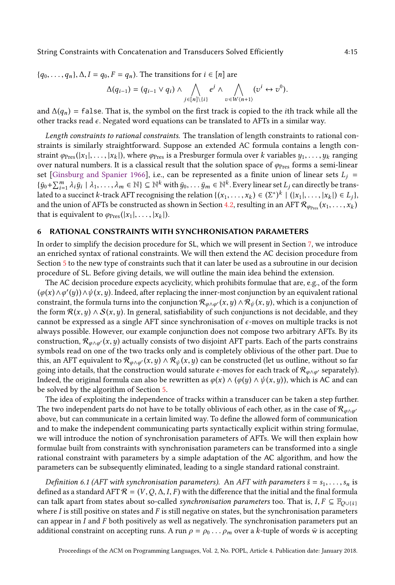${q_0, \ldots, q_n}, \Delta, I = q_0, F = q_n$ . The transitions for  $i \in [n]$  are

$$
\Delta(q_{i-1})=(q_{i-1}\vee q_i)\wedge\bigwedge_{j\in[n]\setminus\{i\}}e^j\wedge\bigwedge_{v\in W\setminus\{n+1\}}(v^i\leftrightarrow v^0).
$$

and  $\Delta(q_n)$  = false. That is, the symbol on the first track is copied to the *i*th track while all the other tracks read  $\epsilon$ . Negated word equations can be translated to AFTs in a similar way.

Length constraints to rational constraints. The translation of length constraints to rational constraints is similarly straightforward. Suppose an extended AC formula contains a length constraint  $\varphi_{\text{Pres}}(|x_1|, \ldots, |x_k|)$ , where  $\varphi_{\text{Pres}}$  is a Presburger formula over k variables  $y_1, \ldots, y_k$  ranging over natural numbers. It is a classical result that the solution space of  $\varphi_{\text{Pres}}$  forms a semi-linear set [\[Ginsburg and Spanier 1966\]](#page-29-21), i.e., can be represented as a finite union of linear sets  $L_j$  =  $\{\bar{y}_0 + \sum_{i=1}^m \lambda_i \bar{y}_i \mid \lambda_1, \ldots, \lambda_m \in \mathbb{N}\}\subseteq \mathbb{N}^k$  with  $\bar{y}_0, \ldots \bar{y}_m \in \mathbb{N}^k$ . Every linear set  $L_j$  can directly be translated to a succinct k-track AFT recognising the relation  $\{(x_1, \ldots, x_k) \in (\Sigma^*)^k \mid (|x_1|, \ldots, |x_k|) \in L_j\}$ , and the union of AFTs be constructed as shown in Section [4.2,](#page-8-2) resulting in an AFT  $\mathcal{R}_{\varphi_{\text{Pres}}}(x_1, \ldots, x_k)$ that is equivalent to  $\varphi_{\text{Pres}}(|x_1|, \ldots, |x_k|)$ .

#### <span id="page-14-0"></span>6 RATIONAL CONSTRAINTS WITH SYNCHRONISATION PARAMETERS

In order to simplify the decision procedure for SL, which we will present in Section [7,](#page-16-0) we introduce an enriched syntax of rational constraints. We will then extend the AC decision procedure from Section [5](#page-11-0) to the new type of constraints such that it can later be used as a subroutine in our decision procedure of SL. Before giving details, we will outline the main idea behind the extension.

The AC decision procedure expects acyclicity, which prohibits formulae that are, e.g., of the form  $(\varphi(x) \wedge \varphi'(y)) \wedge \psi(x, y)$ . Indeed, after replacing the inner-most conjunction by an equivalent rational constraint, the formula turns into the conjunction  $\mathcal{R}_{\varphi \wedge \varphi'}(x,y) \wedge \mathcal{R}_{\psi}(x,y)$ , which is a conjunction of the form  $\mathcal{R}(x, y) \wedge \mathcal{S}(x, y)$ . In general, satisfiability of such conjunctions is not decidable, and they cannot be expressed as a single AFT since synchronisation of  $\epsilon$ -moves on multiple tracks is not always possible. However, our example conjunction does not compose two arbitrary AFTs. By its construction,  $\mathcal{R}_{\varphi \wedge \varphi'}(x, y)$  actually consists of two disjoint AFT parts. Each of the parts constrains symbols read on one of the two tracks only and is completely oblivious of the other part. Due to this, an AFT equivalent to  $\mathcal{R}_{\varphi \wedge \varphi'}(x,y) \wedge \mathcal{R}_{\psi}(x,y)$  can be constructed (let us outline, without so far going into details, that the construction would saturate  $\epsilon$ -moves for each track of  $\mathcal{R}_{\varphi \wedge \varphi'}$  separately). Indeed, the original formula can also be rewritten as  $\varphi(x) \wedge (\varphi(y) \wedge \psi(x, y))$ , which is AC and can be solved by the algorithm of Section [5.](#page-11-0)

The idea of exploiting the independence of tracks within a transducer can be taken a step further. The two independent parts do not have to be totally oblivious of each other, as in the case of  $\mathcal{R}_{\varphi \wedge \varphi'}$ above, but can communicate in a certain limited way. To define the allowed form of communication and to make the independent communicating parts syntactically explicit within string formulae, we will introduce the notion of synchronisation parameters of AFTs. We will then explain how formulae built from constraints with synchronisation parameters can be transformed into a single rational constraint with parameters by a simple adaptation of the AC algorithm, and how the parameters can be subsequently eliminated, leading to a single standard rational constraint.

Definition 6.1 (AFT with synchronisation parameters). An AFT with parameters  $\bar{s} = s_1, \ldots, s_n$  is defined as a standard AFT  $\mathcal{R} = (V, Q, \Delta, I, F)$  with the difference that the initial and the final formula can talk apart from states about so-called *synchronisation parameters* too. That is,  $I, F \subseteq \mathbb{F}_{O\cup\{s\}}$ where  $I$  is still positive on states and  $F$  is still negative on states, but the synchronisation parameters can appear in  $I$  and  $F$  both positively as well as negatively. The synchronisation parameters put an additional constraint on accepting runs. A run  $\rho = \rho_0 \dots \rho_m$  over a k-tuple of words  $\bar{w}$  is accepting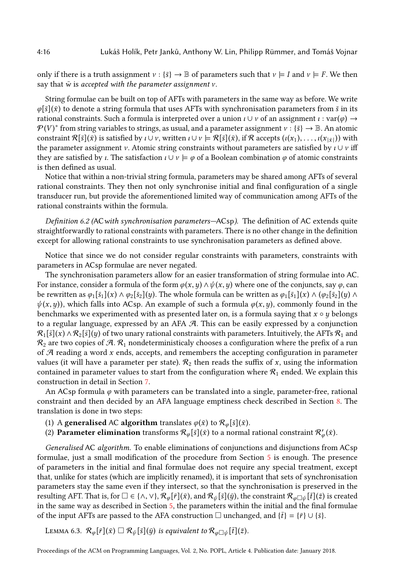only if there is a truth assignment  $v : \{\bar{s}\} \to \mathbb{B}$  of parameters such that  $v \models I$  and  $v \models F$ . We then say that  $\bar{w}$  is accepted with the parameter assignment  $v$ .

String formulae can be built on top of AFTs with parameters in the same way as before. We write  $\varphi[\bar{s}](\bar{x})$  to denote a string formula that uses AFTs with synchronisation parameters from  $\bar{s}$  in its rational constraints. Such a formula is interpreted over a union  $\iota \cup \nu$  of an assignment  $\iota : \text{var}(\varphi) \rightarrow$  $\mathcal{P}(V)^*$  from string variables to strings, as usual, and a parameter assignment  $v : \{\bar{s}\} \to \mathbb{B}$ . An atomic constraint  $\mathcal{R}[\bar{s}](\bar{x})$  is satisfied by  $\iota\cup\nu$ , written  $\iota\cup\nu\models\mathcal{R}[\bar{s}](\bar{x})$ , if  $\mathcal{R}$  accepts  $(\iota(x_1),\ldots,\iota(x_{|\bar{x}|}))$  with the parameter assignment v. Atomic string constraints without parameters are satisfied by  $\iota \cup \nu$  iff they are satisfied by *ι*. The satisfaction  $\iota \cup \nu \models \varphi$  of a Boolean combination  $\varphi$  of atomic constraints is then defined as usual.

Notice that within a non-trivial string formula, parameters may be shared among AFTs of several rational constraints. They then not only synchronise initial and final configuration of a single transducer run, but provide the aforementioned limited way of communication among AFTs of the rational constraints within the formula.

Definition 6.2 (AC with synchronisation parameters–ACsp). The definition of AC extends quite straightforwardly to rational constraints with parameters. There is no other change in the definition except for allowing rational constraints to use synchronisation parameters as defined above.

Notice that since we do not consider regular constraints with parameters, constraints with parameters in ACsp formulae are never negated.

The synchronisation parameters allow for an easier transformation of string formulae into AC. For instance, consider a formula of the form  $\varphi(x, y) \wedge \psi(x, y)$  where one of the conjuncts, say  $\varphi$ , can be rewritten as  $\varphi_1[\bar{s}_1](x) \wedge \varphi_2[\bar{s}_2](y)$ . The whole formula can be written as  $\varphi_1[\bar{s}_1](x) \wedge (\varphi_2[\bar{s}_2](y) \wedge$  $\psi(x,y)$ , which falls into ACsp. An example of such a formula  $\varphi(x,y)$ , commonly found in the benchmarks we experimented with as presented later on, is a formula saying that  $x \circ y$  belongs to a regular language, expressed by an AFA A. This can be easily expressed by a conjunction  $\mathcal{R}_1[\bar{s}](x) \wedge \mathcal{R}_2[\bar{s}](y)$  of two unary rational constraints with parameters. Intuitively, the AFTs  $\mathcal{R}_1$  and  $\mathcal{R}_2$  are two copies of A.  $\mathcal{R}_1$  nondeterministicaly chooses a configuration where the prefix of a run of  $A$  reading a word  $x$  ends, accepts, and remembers the accepting configuration in parameter values (it will have a parameter per state).  $\mathcal{R}_2$  then reads the suffix of x, using the information contained in parameter values to start from the configuration where  $\mathcal{R}_1$  ended. We explain this construction in detail in Section [7.](#page-16-0)

An ACsp formula  $\varphi$  with parameters can be translated into a single, parameter-free, rational constraint and then decided by an AFA language emptiness check described in Section [8.](#page-20-0) The translation is done in two steps:

- (1) A **generalised** AC **algorithm** translates  $\varphi(\bar{x})$  to  $\mathcal{R}_{\varphi}[\bar{s}](\bar{x})$ .
- (2) Parameter elimination transforms  $\mathcal{R}_{\varphi}[\bar{s}](\bar{x})$  to a normal rational constraint  $\mathcal{R}'_{\varphi}(\bar{x})$ .

Generalised AC algorithm. To enable eliminations of conjunctions and disjunctions from ACsp formulae, just a small modification of the procedure from Section [5](#page-11-0) is enough. The presence of parameters in the initial and final formulae does not require any special treatment, except that, unlike for states (which are implicitly renamed), it is important that sets of synchronisation parameters stay the same even if they intersect, so that the synchronisation is preserved in the resulting AFT. That is, for  $\square \in \{\land, \lor\}, \mathcal{R}_{\varnothing}[\bar{r}](\bar{x})$ , and  $\mathcal{R}_{\psi}[\bar{s}](\bar{y})$ , the constraint  $\mathcal{R}_{\varnothing \square \psi}[\bar{t}](\bar{z})$  is created in the same way as described in Section [5,](#page-11-0) the parameters within the initial and the final formulae of the input AFTs are passed to the AFA construction  $\Box$  unchanged, and  $\{\bar{t}\} = \{\bar{r}\} \cup \{\bar{s}\}.$ 

LEMMA 6.3.  $\mathcal{R}_{\varphi}[\bar{r}](\bar{x}) \square \mathcal{R}_{\psi}[\bar{s}](\bar{y})$  is equivalent to  $\mathcal{R}_{\varphi \square \psi}[\bar{t}](\bar{z})$ .

Proceedings of the ACM on Programming Languages, Vol. 2, No. POPL, Article 4. Publication date: January 2018.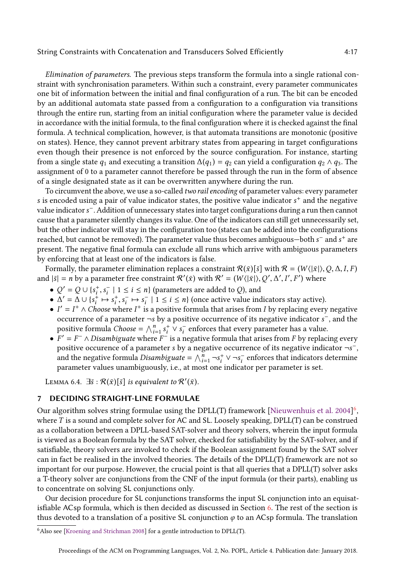Elimination of parameters. The previous steps transform the formula into a single rational constraint with synchronisation parameters. Within such a constraint, every parameter communicates one bit of information between the initial and final configuration of a run. The bit can be encoded by an additional automata state passed from a configuration to a configuration via transitions through the entire run, starting from an initial configuration where the parameter value is decided in accordance with the initial formula, to the final configuration where it is checked against the final formula. A technical complication, however, is that automata transitions are monotonic (positive on states). Hence, they cannot prevent arbitrary states from appearing in target configurations even though their presence is not enforced by the source configuration. For instance, starting from a single state  $q_1$  and executing a transition  $\Delta(q_1) = q_2$  can yield a configuration  $q_2 \wedge q_3$ . The assignment of 0 to a parameter cannot therefore be passed through the run in the form of absence of a single designated state as it can be overwritten anywhere during the run.

To circumvent the above, we use a so-called *two rail encoding* of parameter values: every parameter s is encoded using a pair of value indicator states, the positive value indicator  $s^+$  and the negative value indicator s<sup>-</sup>. Addition of unnecessary states into target configurations during a run then cannot cause that a parameter silently changes its value. One of the indicators can still get unnecessarily set, but the other indicator will stay in the configuration too (states can be added into the configurations reached, but cannot be removed). The parameter value thus becomes ambiguous—both s<sup>-</sup> and s<sup>+</sup> are present. The negative final formula can exclude all runs which arrive with ambiguous parameters by enforcing that at least one of the indicators is false.

Formally, the parameter elimination replaces a constraint  $\mathcal{R}(\bar{x})[\bar{s}]$  with  $\mathcal{R} = (W \langle |\bar{x}|), Q, \Delta, I, F$ and  $|\bar{s}| = n$  by a parameter free constraint  $\mathcal{R}'(\bar{x})$  with  $\mathcal{R}' = (W(|\bar{x}|), Q', \Delta', I', F')$  where

- $Q' = Q \cup \{s_i^+\}$  $i<sub>i</sub>$ ,  $s<sub>i</sub><sup>-</sup>$  | 1  $\leq i \leq n$ } (parameters are added to *Q*), and
- $\Delta' = \Delta \cup \{s_i^+\}$  $i \mapsto s_i^+$ <sup>+</sup><sub>i</sub>, s<sup>−</sup><sub>i</sub> → s<sup>−</sup><sub>i</sub> | 1 ≤ *i* ≤ *n*} (once active value indicators stay active).
- $I' = I^+ \wedge Choose$  where  $I^+$  is a positive formula that arises from I by replacing every negative occurrence of a parameter ¬s by a positive occurrence of its negative indicator s<sup>-</sup>, and the positive formula *Choose* =  $\bigwedge_{i=1}^{n} s_i^+ \vee s_i^-$  enforces that every parameter has a value.
- $F' = F^{-} \wedge Disambiguate$  where  $F^{-}$  is a negative formula that arises from F by replacing every positive occurence of a parameter s by a negative occurrence of its negative indicator  $\neg s$ <sup>-</sup>, and the negative formula Disambiguate =  $\bigwedge_{i=1}^{n} \neg s_i^+ \vee \neg s_i^-$  enforces that indicators determine parameter values unambiguously, i.e., at most one indicator per parameter is set.

LEMMA 6.4.  $\exists \bar{s} : \mathcal{R}(\bar{x})[\bar{s}]$  is equivalent to  $\mathcal{R}'(\bar{x})$ .

# <span id="page-16-0"></span>7 DECIDING STRAIGHT-LINE FORMULAE

Our algorithm solves string formulae using the DPLL(T) framework [\[Nieuwenhuis et al.](#page-30-21) [2004\]](#page-30-21)<sup>[6](#page-16-1)</sup>, where T is a sound and complete solver for AC and SL. Loosely speaking, DPLL(T) can be construed as a collaboration between a DPLL-based SAT-solver and theory solvers, wherein the input formula is viewed as a Boolean formula by the SAT solver, checked for satisfiability by the SAT-solver, and if satisfiable, theory solvers are invoked to check if the Boolean assignment found by the SAT solver can in fact be realised in the involved theories. The details of the DPLL(T) framework are not so important for our purpose. However, the crucial point is that all queries that a DPLL(T) solver asks a T-theory solver are conjunctions from the CNF of the input formula (or their parts), enabling us to concentrate on solving SL conjunctions only.

Our decision procedure for SL conjunctions transforms the input SL conjunction into an equisatisfiable ACsp formula, which is then decided as discussed in Section [6.](#page-14-0) The rest of the section is thus devoted to a translation of a positive SL conjunction  $\varphi$  to an ACsp formula. The translation

<span id="page-16-1"></span><sup>6</sup>Also see [\[Kroening and Strichman 2008\]](#page-30-22) for a gentle introduction to DPLL(T).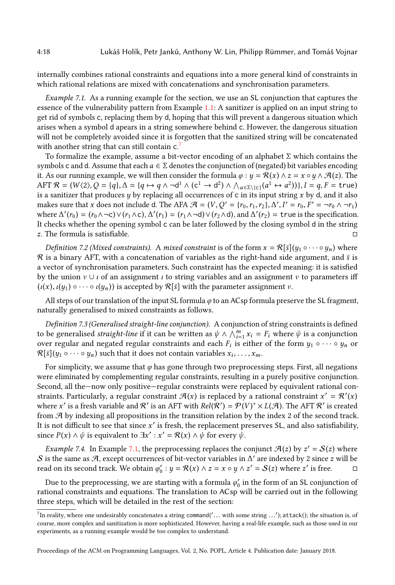internally combines rational constraints and equations into a more general kind of constraints in which rational relations are mixed with concatenations and synchronisation parameters.

<span id="page-17-1"></span>Example 7.1. As a running example for the section, we use an SL conjunction that captures the essence of the vulnerability pattern from Example [1.1:](#page-1-0) A sanitizer is applied on an input string to get rid of symbols c, replacing them by d, hoping that this will prevent a dangerous situation which arises when a symbol d apears in a string somewhere behind c. However, the dangerous situation will not be completely avoided since it is forgotten that the sanitized string will be concatenated with another string that can still contain  $c$ .<sup>[7](#page-17-0)</sup>

To formalize the example, assume a bit-vector encoding of an alphabet  $\Sigma$  which contains the symbols c and d. Assume that each  $a \in \Sigma$  denotes the conjunction of (negated) bit variables encoding it. As our running example, we will then consider the formula  $\varphi : y = \mathcal{R}(x) \wedge z = x \circ y \wedge \mathcal{A}(z)$ . The  $\mathop{\rm AFT} \mathcal{R} = (W \langle 2 \rangle, \mathcal{Q} = \{q\}, \Delta = \{q \mapsto q \wedge \neg \mathsf{d}^1 \wedge (\mathsf{c}^1 \to \mathsf{d}^2) \wedge \bigwedge_{a \in \Sigma \setminus \{\mathsf{c}\}} (a^1 \leftrightarrow a^2))\}, I = q, F = \mathsf{true})$ is a sanitizer that produces  $y$  by replacing all occurrences of c in its input string  $x$  by d, and it also makes sure that x does not include d. The AFA  $\mathcal{A} = (V, Q' = \{r_0, r_1, r_2\}, \Delta', I' = r_0, F' = \neg r_0 \wedge \neg r_1)$ where  $\Delta'(r_0) = (r_0 \wedge \neg c) \vee (r_1 \wedge c), \Delta'(r_1) = (r_1 \wedge \neg d) \vee (r_2 \wedge d)$ , and  $\Delta'(r_2) =$  true is the specification. It checks whether the opening symbol c can be later followed by the closing symbol d in the string  $z$ . The formula is satisfiable.

*Definition 7.2 (Mixed constraints).* A *mixed constraint* is of the form  $x = \mathcal{R}[\bar{s}](y_1 \circ \cdots \circ y_n)$  where  $R$  is a binary AFT, with a concatenation of variables as the right-hand side argument, and  $\bar{s}$  is a vector of synchronisation parameters. Such constraint has the expected meaning: it is satisfied by the union  $\nu \cup \iota$  of an assignment  $\iota$  to string variables and an assignment  $\nu$  to parameters iff  $(\iota(x), \iota(y_1) \circ \cdots \circ \iota(y_n))$  is accepted by  $\mathcal{R}[\bar{s}]$  with the parameter assignment  $\nu$ .

All steps of our translation of the input SL formula  $\varphi$  to an ACsp formula preserve the SL fragment, naturally generalised to mixed constraints as follows.

Definition 7.3 (Generalised straight-line conjunction). A conjunction of string constraints is defined to be generalised *straight-line* if it can be written as  $\psi \wedge \bigwedge_{i=1}^{m} x_i = F_i$  where  $\psi$  is a conjunction over regular and negated regular constraints and each  $F_i$  is either of the form  $y_1 \circ \cdots \circ y_n$  or  $\mathcal{R}[\bar{s}](y_1 \circ \cdots \circ y_n)$  such that it does not contain variables  $x_i, \ldots, x_m$ .

For simplicity, we assume that  $\varphi$  has gone through two preprocessing steps. First, all negations were eliminated by complementing regular constraints, resulting in a purely positive conjunction. Second, all the—now only positive—regular constraints were replaced by equivalent rational constraints. Particularly, a regular constraint  $\mathcal{A}(x)$  is replaced by a rational constraint  $x' = \mathcal{R}'(x)$ where  $x'$  is a fresh variable and  $\mathcal{R}'$  is an AFT with  $Rel(\mathcal{R}') = \mathcal{P}(V)^* \times L(\mathcal{A})$ . The AFT  $\mathcal{R}'$  is created from A by indexing all propositions in the transition relation by the index 2 of the second track. It is not difficult to see that since  $x'$  is fresh, the replacement preserves SL, and also satisfiability, since  $P(x) \wedge \psi$  is equivalent to  $\exists x' : x' = \mathcal{R}(x) \wedge \psi$  for every  $\bar{\psi}$ .

<span id="page-17-2"></span>*Example 7.4.* In Example [7.1,](#page-17-1) the preprocessing replaces the conjunct  $\mathcal{A}(z)$  by  $z' = \mathcal{S}(z)$  where S is the same as A, except occurrences of bit-vector variables in  $\Delta'$  are indexed by 2 since z will be read on its second track. We obtain  $\varphi_0': y = \mathcal{R}(x) \wedge z = x \circ y \wedge z' = \mathcal{S}(z)$  where  $z'$  is free.  $\Box$ 

Due to the preprocessing, we are starting with a formula  $\varphi_0'$  in the form of an SL conjunction of rational constraints and equations. The translation to ACsp will be carried out in the following three steps, which will be detailed in the rest of the section:

Proceedings of the ACM on Programming Languages, Vol. 2, No. POPL, Article 4. Publication date: January 2018.

<span id="page-17-0"></span><sup>&</sup>lt;sup>7</sup>In reality, where one undesirably concatenates a string command('... with some string ...'); attack(); the situation is, of course, more complex and sanitization is more sophisticated. However, having a real-life example, such as those used in our experiments, as a running example would be too complex to understand.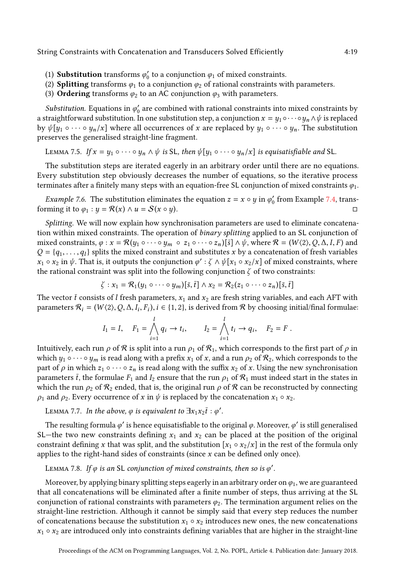- (1) **Substitution** transforms  $\varphi'_0$  to a conjunction  $\varphi_1$  of mixed constraints.
- (2) **Splitting** transforms  $\varphi_1$  to a conjunction  $\varphi_2$  of rational constraints with parameters.
- (3) Ordering transforms  $\varphi_2$  to an AC conjunction  $\varphi_3$  with parameters.

Substitution. Equations in  $\varphi_0'$  are combined with rational constraints into mixed constraints by a straightforward substitution. In one substitution step, a conjunction  $x = y_1 \circ \cdots \circ y_n \wedge \psi$  is replaced by  $\psi[y_1 \circ \cdots \circ y_n/x]$  where all occurrences of x are replaced by  $y_1 \circ \cdots \circ y_n$ . The substitution preserves the generalised straight-line fragment.

LEMMA 7.5. If 
$$
x = y_1 \circ \cdots \circ y_n \wedge \psi
$$
 is SL, then  $\psi[y_1 \circ \cdots \circ y_n/x]$  is equisatisfiable and SL.

The substitution steps are iterated eagerly in an arbitrary order until there are no equations. Every substitution step obviously decreases the number of equations, so the iterative process terminates after a finitely many steps with an equation-free SL conjunction of mixed constraints  $\varphi_1$ .

<span id="page-18-0"></span>*Example 7.6.* The substitution eliminates the equation  $z = x \circ y$  in  $\varphi'_0$  from Example [7.4,](#page-17-2) transforming it to  $\varphi_1 : y = \mathcal{R}(x) \wedge u = \mathcal{S}(x \circ y)$ .

Splitting. We will now explain how synchronisation parameters are used to eliminate concatenation within mixed constraints. The operation of binary splitting applied to an SL conjunction of mixed constraints,  $\varphi : x = \mathcal{R}(y_1 \circ \cdots \circ y_m \circ z_1 \circ \cdots \circ z_n) [\bar{s}] \wedge \psi$ , where  $\mathcal{R} = (W \langle 2 \rangle, Q, \Delta, I, F)$  and  $Q = \{q_1, \ldots, q_l\}$  splits the mixed constraint and substitutes x by a concatenation of fresh variables  $x_1 \circ x_2$  in  $\psi$ . That is, it outputs the conjunction  $\varphi': \zeta \wedge \psi[x_1 \circ x_2/x]$  of mixed constraints, where the rational constraint was split into the following conjunction  $\zeta$  of two constraints:

$$
\zeta: x_1 = \mathcal{R}_1(y_1 \circ \cdots \circ y_m)[\overline{s}, \overline{t}] \wedge x_2 = \mathcal{R}_2(z_1 \circ \cdots \circ z_n)[\overline{s}, \overline{t}]
$$

The vector  $\bar{t}$  consists of l fresh parameters,  $x_1$  and  $x_2$  are fresh string variables, and each AFT with parameters  $\mathcal{R}_i = (W(2), Q, \Delta, I_i, F_i), i \in \{1, 2\}$ , is derived from  $\mathcal R$  by choosing initial/final formulae:

$$
I_1 = I, \quad F_1 = \bigwedge_{i=1}^l q_i \to t_i, \qquad I_2 = \bigwedge_{i=1}^l t_i \to q_i, \quad F_2 = F.
$$

Intuitively, each run  $\rho$  of  $R$  is split into a run  $\rho_1$  of  $R_1$ , which corresponds to the first part of  $\rho$  in which  $y_1 \circ \cdots \circ y_m$  is read along with a prefix  $x_1$  of  $x$ , and a run  $\rho_2$  of  $\mathcal{R}_2$ , which corresponds to the part of  $\rho$  in which  $z_1 \circ \cdots \circ z_n$  is read along with the suffix  $x_2$  of x. Using the new synchronisation parameters  $\bar{t}$ , the formulae  $F_1$  and  $I_2$  ensure that the run  $\rho_1$  of  $\mathcal{R}_1$  must indeed start in the states in which the run  $\rho_2$  of  $\mathcal{R}_2$  ended, that is, the original run  $\rho$  of  $\mathcal{R}$  can be reconstructed by connecting  $\rho_1$  and  $\rho_2$ . Every occurrence of x in  $\psi$  is replaced by the concatenation  $x_1 \circ x_2$ .

LEMMA 7.7. In the above,  $\varphi$  is equivalent to  $\exists x_1x_2\bar{t}:\varphi'.$ 

The resulting formula  $\varphi'$  is hence equisatisfiable to the original  $\varphi$ . Moreover,  $\varphi'$  is still generalised SL–the two new constraints defining  $x_1$  and  $x_2$  can be placed at the position of the original constraint defining x that was split, and the substitution  $[x_1 \circ x_2/x]$  in the rest of the formula only applies to the right-hand sides of constraints (since  $x$  can be defined only once).

# LEMMA 7.8. If  $\varphi$  is an SL conjunction of mixed constraints, then so is  $\varphi'$ .

Moreover, by applying binary splitting steps eagerly in an arbitrary order on  $\varphi_1$ , we are guaranteed that all concatenations will be eliminated after a finite number of steps, thus arriving at the SL conjunction of rational constraints with parameters  $\varphi_2$ . The termination argument relies on the straight-line restriction. Although it cannot be simply said that every step reduces the number of concatenations because the substitution  $x_1 \circ x_2$  introduces new ones, the new concatenations  $x_1 \circ x_2$  are introduced only into constraints defining variables that are higher in the straight-line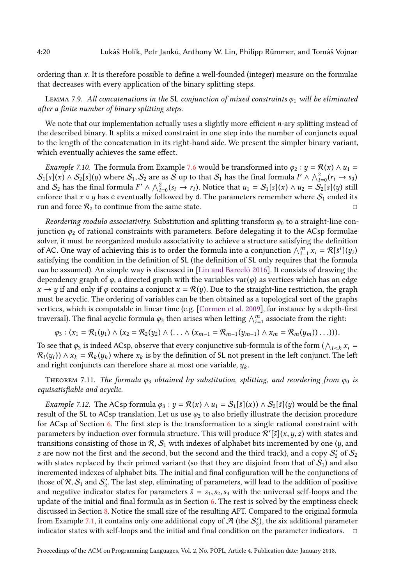ordering than x. It is therefore possible to define a well-founded (integer) measure on the formulae that decreases with every application of the binary splitting steps.

LEMMA 7.9. All concatenations in the SL conjunction of mixed constraints  $\varphi_1$  will be eliminated after a finite number of binary splitting steps.

We note that our implementation actually uses a slightly more efficient *n*-ary splitting instead of the described binary. It splits a mixed constraint in one step into the number of conjuncts equal to the length of the concatenation in its right-hand side. We present the simpler binary variant, which eventually achieves the same effect.

*Example 7.10.* The formula from Example [7.6](#page-18-0) would be transformed into  $\varphi_2 : y = \mathcal{R}(x) \wedge u_1 =$  $\mathcal{S}_1[\bar{s}](x) \wedge \mathcal{S}_2[\bar{s}](y)$  where  $\mathcal{S}_1, \mathcal{S}_2$  are as  $\bar{\mathcal{S}}$  up to that  $\mathcal{S}_1$  has the final formula  $I' \wedge \bigwedge_{i=0}^2 (r_i \to s_0)$ and  $\mathcal{S}_2$  has the final formula  $F' \wedge \bigwedge_{i=0}^2 (s_i \rightarrow r_i)$ . Notice that  $u_1 = \mathcal{S}_1[\bar{s}](x) \wedge u_2 = \mathcal{S}_2[\bar{s}](y)$  still enforce that  $x \circ y$  has c eventually followed by d. The parameters remember where  $S_1$  ended its run and force  $\mathcal{R}_2$  to continue from the same state.  $\Box$ 

Reordering modulo associativity. Substitution and splitting transform  $\varphi_0$  to a straight-line conjunction  $\varphi_2$  of rational constraints with parameters. Before delegating it to the ACsp formulae solver, it must be reorganized modulo associativity to achieve a structure satisfying the definition of AC. One way of achieving this is to order the formula into a conjunction  $\bigwedge_{i=1}^{m} x_i = \mathcal{R}[\bar{s}^i](y_i)$ satisfying the condition in the definition of SL (the definition of SL only requires that the formula can be assumed). An simple way is discussed in [\[Lin and Barceló 2016\]](#page-30-8). It consists of drawing the dependency graph of  $\varphi$ , a directed graph with the variables var $(\varphi)$  as vertices which has an edge  $x \to y$  if and only if  $\varphi$  contains a conjunct  $x = \mathcal{R}(y)$ . Due to the straight-line restriction, the graph must be acyclic. The ordering of variables can be then obtained as a topological sort of the graphs vertices, which is computable in linear time (e.g. [\[Cormen et al.](#page-29-22) [2009\]](#page-29-22), for instance by a depth-first traversal). The final acyclic formula  $\varphi_3$  then arises when letting  $\bigwedge_{i=1}^m$  associate from the right:

$$
\varphi_3: (x_1 = \mathcal{R}_1(y_1) \wedge (x_2 = \mathcal{R}_2(y_2) \wedge (\ldots \wedge (x_{m-1} = \mathcal{R}_{m-1}(y_{m-1}) \wedge x_m = \mathcal{R}_m(y_m)) \ldots))).
$$

To see that  $\varphi_3$  is indeed ACsp, observe that every conjunctive sub-formula is of the form  $(\bigwedge_{i \leq k} x_i =$  $\mathcal{R}_i(y_i)$ ) ∧  $x_k = \mathcal{R}_k(y_k)$  where  $x_k$  is by the definition of SL not present in the left conjunct. The left and right conjuncts can therefore share at most one variable,  $y_k$ .

THEOREM 7.11. The formula  $\varphi_3$  obtained by substitution, splitting, and reordering from  $\varphi_0$  is equisatisfiable and acyclic.

*Example 7.12.* The ACsp formula  $\varphi_3 : y = \mathcal{R}(x) \wedge u_1 = S_1[\bar{s}](x) \wedge S_2[\bar{s}](y)$  would be the final result of the SL to ACsp translation. Let us use  $\varphi_3$  to also briefly illustrate the decision procedure for ACsp of Section [6.](#page-14-0) The first step is the transformation to a single rational constraint with parameters by induction over formula structure. This will produce  $\mathcal{R}'[\bar{s}](x,y,z)$  with states and transitions consisting of those in  $\mathcal{R}$ ,  $\mathcal{S}_1$  with indexes of alphabet bits incremented by one (y, and z are now not the first and the second, but the second and the third track), and a copy  $\mathcal{S}_2'$  of  $\mathcal{S}_2$ with states replaced by their primed variant (so that they are disjoint from that of  $S_1$ ) and also incremented indexes of alphabet bits. The initial and final configuration will be the conjunctions of those of  $\mathcal{R}, \mathcal{S}_1$  and  $\mathcal{S}'_2$ . The last step, eliminating of parameters, will lead to the addition of positive and negative indicator states for parameters  $\bar{s} = s_1, s_2, s_3$  with the universal self-loops and the update of the initial and final formula as in Section  $6$ . The rest is solved by the emptiness check discussed in Section [8.](#page-20-0) Notice the small size of the resulting AFT. Compared to the original formula from Example [7.1,](#page-17-1) it contains only one additional copy of  $\mathcal A$  (the  $\mathcal S_2'$ ), the six additional parameter indicator states with self-loops and the initial and final condition on the parameter indicators.  $\Box$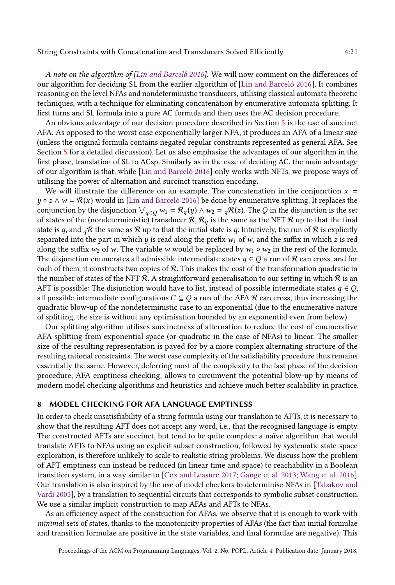A note on the algorithm of [\[Lin and Barceló 2016\]](#page-30-8). We will now comment on the differences of our algorithm for deciding SL from the earlier algorithm of [\[Lin and Barceló 2016\]](#page-30-8). It combines reasoning on the level NFAs and nondeterministic transducers, utilising classical automata theoretic techniques, with a technique for eliminating concatenation by enumerative automata splitting. It first turns and SL formula into a pure AC formula and then uses the AC decision procedure.

An obvious advantage of our decision procedure described in Section [5](#page-11-0) is the use of succinct AFA. As opposed to the worst case exponentially larger NFA, it produces an AFA of a linear size (unless the original formula contains negated regular constraints represented as general AFA. See Section [5](#page-11-0) for a detailed discussion). Let us also emphasize the advantages of our algorithm in the first phase, translation of SL to ACsp. Similarly as in the case of deciding AC, the main advantage of our algorithm is that, while [\[Lin and Barceló 2016\]](#page-30-8) only works with NFTs, we propose ways of utilising the power of alternation and succinct transition encoding.

We will illustrate the difference on an example. The concatenation in the conjunction  $x =$  $y \circ z \wedge w = \mathcal{R}(x)$  would in [\[Lin and Barceló 2016\]](#page-30-8) be done by enumerative splitting. It replaces the conjunction by the disjunction  $\vee_{q \in Q} w_1 = \mathcal{R}_q(y) \wedge w_2 = {}_q\mathcal{R}(z)$ . The Q in the disjunction is the set of states of the (nondeterministic) transducer  $\mathcal{R}, \mathcal{R}_q$  is the same as the NFT  $\mathcal{R}$  up to that the final state is q, and  $_q\mathcal{R}$  the same as  $\mathcal{R}$  up to that the initial state is q. Intuitively, the run of  $\mathcal{R}$  is explicitly separated into the part in which y is read along the prefix  $w_1$  of w, and the suffix in which z is red along the suffix  $w_2$  of w. The variable w would be replaced by  $w_1 \circ w_2$  in the rest of the formula. The disjunction enumerates all admissible intermediate states  $q \in Q$  a run of R can cross, and for each of them, it constructs two copies of  $R$ . This makes the cost of the transformation quadratic in the number of states of the NFT  $\mathcal R$ . A straightforward generalisation to our setting in which  $\mathcal R$  is an AFT is possible: The disjunction would have to list, instead of possible intermediate states  $q \in Q$ , all possible intermediate configurations  $C \subseteq Q$  a run of the AFA  $R$  can cross, thus increasing the quadratic blow-up of the nondeterministic case to an exponential (due to the enumerative nature of splitting, the size is without any optimisation bounded by an exponential even from below).

Our splitting algorithm utilises succinctness of alternation to reduce the cost of enumerative AFA splitting from exponential space (or quadratic in the case of NFAs) to linear. The smaller size of the resulting representation is payed for by a more complex alternating structure of the resulting rational constraints. The worst case complexity of the satisfiability procedure thus remains essentially the same. However, deferring most of the complexity to the last phase of the decision procedure, AFA emptiness checking, allows to circumvent the potential blow-up by means of modern model checking algorithms and heuristics and achieve much better scalability in practice.

#### <span id="page-20-0"></span>8 MODEL CHECKING FOR AFA LANGUAGE EMPTINESS

In order to check unsatisfiability of a string formula using our translation to AFTs, it is necessary to show that the resulting AFT does not accept any word, i.e., that the recognised language is empty. The constructed AFTs are succinct, but tend to be quite complex: a naïve algorithm that would translate AFTs to NFAs using an explicit subset construction, followed by systematic state-space exploration, is therefore unlikely to scale to realistic string problems. We discuss how the problem of AFT emptiness can instead be reduced (in linear time and space) to reachability in a Boolean transition system, in a way similar to [\[Cox and Leasure 2017;](#page-29-19) [Gange et al.](#page-29-23) [2013;](#page-29-23) [Wang et al.](#page-31-9) [2016\]](#page-31-9). Our translation is also inspired by the use of model checkers to determinise NFAs in [\[Tabakov and](#page-30-23) [Vardi 2005\]](#page-30-23), by a translation to sequential circuits that corresponds to symbolic subset construction. We use a similar implicit construction to map AFAs and AFTs to NFAs.

As an efficiency aspect of the construction for AFAs, we observe that it is enough to work with minimal sets of states, thanks to the monotonicity properties of AFAs (the fact that initial formulae and transition formulae are positive in the state variables, and final formulae are negative). This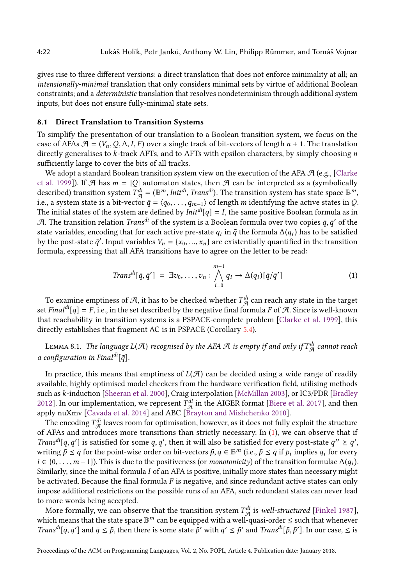gives rise to three different versions: a direct translation that does not enforce minimality at all; an intensionally-minimal translation that only considers minimal sets by virtue of additional Boolean constraints; and a deterministic translation that resolves nondeterminism through additional system inputs, but does not ensure fully-minimal state sets.

#### <span id="page-21-1"></span>8.1 Direct Translation to Transition Systems

To simplify the presentation of our translation to a Boolean transition system, we focus on the case of AFAs  $\mathcal{A} = (V_n, Q, \Delta, I, F)$  over a single track of bit-vectors of length  $n + 1$ . The translation directly generalises to  $k$ -track AFTs, and to AFTs with epsilon characters, by simply choosing  $n$ sufficiently large to cover the bits of all tracks.

We adopt a standard Boolean transition system view on the execution of the AFA  $\mathcal{A}$  (e.g., [\[Clarke](#page-29-24) [et al.](#page-29-24) [1999\]](#page-29-24)). If  $\mathcal A$  has  $m = |Q|$  automaton states, then  $\mathcal A$  can be interpreted as a (symbolically described) transition system  $T_{\mathcal{A}}^{di} = (\mathbb{B}^m, Init^{di}, Trans^{di})$ . The transition system has state space  $\mathbb{B}^m$ , i.e., a system state is a bit-vector  $\bar{q} = \langle q_0, \ldots, q_{m-1} \rangle$  of length m identifying the active states in Q. The initial states of the system are defined by  $Init^{di}[\bar{q}] = I$ , the same positive Boolean formula as in A. The transition relation  $\it Trans^{di}$  of the system is a Boolean formula over two copies  $\bar{q},\bar{q}'$  of the state variables, encoding that for each active pre-state  $q_i$  in  $\bar{q}$  the formula  $\Delta(q_i)$  has to be satisfied by the post-state  $\bar{q}'$ . Input variables  $V_n = \{x_0, ..., x_n\}$  are existentially quantified in the transition formula, expressing that all AFA transitions have to agree on the letter to be read:

<span id="page-21-0"></span>
$$
Trans^{di}[\bar{q}, \bar{q}'] = \exists v_0, \dots, v_n : \bigwedge_{i=0}^{m-1} q_i \to \Delta(q_i) [\bar{q}/\bar{q}'] \tag{1}
$$

To examine emptiness of  $\mathcal A$ , it has to be checked whether  $T^{di}_{\mathcal A}$  can reach any state in the target set Final<sup>di</sup>[ $\bar{q}$ ] = F, i.e., in the set described by the negative final formula F of A. Since is well-known that reachability in transition systems is a PSPACE-complete problem [\[Clarke et al.](#page-29-24) [1999\]](#page-29-24), this directly establishes that fragment AC is in PSPACE (Corollary [5.4\)](#page-13-2).

LEMMA 8.1. The language L(A) recognised by the AFA A is empty if and only if  $T^{di}_{\mathcal{A}}$  cannot reach a configuration in Final $^{di}$ [ $\bar{a}$ ].

In practice, this means that emptiness of  $L(\mathcal{A})$  can be decided using a wide range of readily available, highly optimised model checkers from the hardware verification field, utilising methods such as k-induction [\[Sheeran et al.](#page-30-17) [2000\]](#page-30-17), Craig interpolation [\[McMillan 2003\]](#page-30-18), or IC3/PDR [\[Bradley](#page-28-5) [2012\]](#page-28-5). In our implementation, we represent  $T_{\mathcal{A}}^{di}$  in the AIGER format [\[Biere et al.](#page-28-10) [2017\]](#page-28-10), and then apply nuXmv [\[Cavada et al. 2014\]](#page-29-20) and ABC [\[Brayton and Mishchenko 2010\]](#page-28-7).

The encoding  $T_{\mathcal{A}}^{di}$  leaves room for optimisation, however, as it does not fully exploit the structure of AFAs and introduces more transitions than strictly necessary. In [\(1\)](#page-21-0), we can observe that if *Trans*<sup>di</sup>[ $\bar{q}$ , $\bar{q}'$ ] is satisfied for some  $\bar{q}$ ,  $\bar{q}'$ , then it will also be satisfied for every post-state  $\bar{q}'' \geq \bar{q}'$ , writing  $\bar{p}\leq\bar{q}$  for the point-wise order on bit-vectors  $\bar{p},\bar{q}\in\mathbb{B}^m$  (i.e.,  $\bar{p}\leq\bar{q}$  if  $p_i$  implies  $q_i$  for every  $i \in \{0, \ldots, m-1\}$ ). This is due to the positiveness (or *monotonicity*) of the transition formulae  $\Delta(q_i)$ . Similarly, since the initial formula I of an AFA is positive, initially more states than necessary might be activated. Because the final formula  $F$  is negative, and since redundant active states can only impose additional restrictions on the possible runs of an AFA, such redundant states can never lead to more words being accepted.

More formally, we can observe that the transition system  $T_{\mathcal{A}}^{di}$  is *well-structured* [\[Finkel 1987\]](#page-29-25), which means that the state space  $\mathbb{B}^m$  can be equipped with a well-quasi-order  $\leq$  such that whenever *Trans<sup>di</sup>*[ $\bar{q}$ ,  $\bar{q}'$ ] and  $\bar{q} \leq \bar{p}$ , then there is some state  $\bar{p}'$  with  $\bar{q}' \leq \bar{p}'$  and *Trans<sup>di</sup>*[ $\bar{p}$ ,  $\bar{p}'$ ]. In our case,  $\leq$  is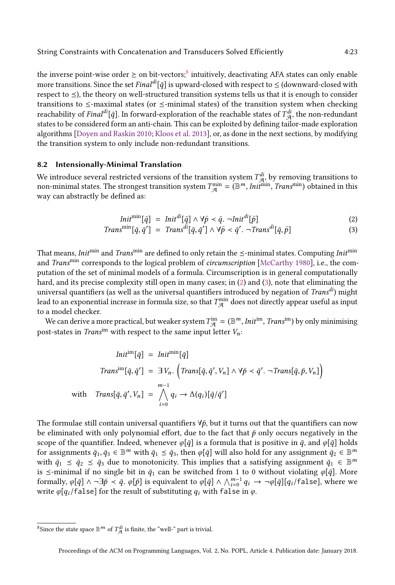the inverse point-wise order  $\succeq$  on bit-vectors; $^8$  $^8$  intuitively, deactivating AFA states can only enable more transitions. Since the set Final<sup>di</sup>[ $\bar{q}$ ] is upward-closed with respect to  $\leq$  (downward-closed with respect to  $\leq$ ), the theory on well-structured transition systems tells us that it is enough to consider transitions to  $\le$ -maximal states (or  $\le$ -minimal states) of the transition system when checking reachability of  $\textit{Final}^{di}[\bar{q}]$ . In forward-exploration of the reachable states of  $T^{di}_{\mathcal{A}},$  the non-redundant states to be considered form an anti-chain. This can be exploited by defining tailor-made exploration algorithms [\[Doyen and Raskin 2010;](#page-29-26) [Kloos et al.](#page-30-24) [2013\]](#page-30-24), or, as done in the next sections, by modifying the transition system to only include non-redundant transitions.

# <span id="page-22-3"></span>8.2 Intensionally-Minimal Translation

We introduce several restricted versions of the transition system  $T_{\mathcal{A}}^{di}$ , by removing transitions to non-minimal states. The strongest transition system  $T_{\mathcal{A}}^{\min} = (\mathbb{B}^m, Init^{\min}, Trans^{\min})$  obtained in this way can abstractly be defined as:

<span id="page-22-2"></span><span id="page-22-1"></span>
$$
Init^{\min}[\bar{q}] = Init^{di}[\bar{q}] \wedge \forall \bar{p} < \bar{q}. \neg Init^{di}[\bar{p}] \tag{2}
$$

$$
Trans^{\min}[\bar{q}, \bar{q}'] = Trans^{di}[\bar{q}, \bar{q}'] \wedge \forall \bar{p} < \bar{q}'. \neg Trans^{di}[\bar{q}, \bar{p}] \tag{3}
$$

That means, *Init<sup>min</sup>* and *Trans<sup>min</sup>* are defined to only retain the  $\le$ -minimal states. Computing *Init<sup>min</sup>* and Trans<sup>min</sup> corresponds to the logical problem of *circumscription* [\[McCarthy 1980\]](#page-30-25), i.e., the computation of the set of minimal models of a formula. Circumscription is in general computationally hard, and its precise complexity still open in many cases; in [\(2\)](#page-22-1) and [\(3\)](#page-22-2), note that eliminating the universal quantifiers (as well as the universal quantifiers introduced by negation of  $Trans<sup>di</sup>$ ) might lead to an exponential increase in formula size, so that  $T_\mathcal{A}^\text{min}$  does not directly appear useful as input to a model checker.

We can derive a more practical, but weaker system  $T_{\mathcal{A}}^{\text{im}}=(\mathbb{B}^m,\textit{Init}^{\text{im}},\textit{Trans}^{\text{im}})$  by only minimising post-states in Trans<sup>im</sup> with respect to the same input letter  $V_n$ :

$$
Init^{im}[\bar{q}] = Init^{min}[\bar{q}]
$$
  

$$
Trans^{im}[\bar{q}, \bar{q}'] = \exists V_n. (Trans[\bar{q}, \bar{q}', V_n] \land \forall \bar{p} < \bar{q}'. \neg Trans[\bar{q}, \bar{p}, V_n])
$$
  
with 
$$
Trans[\bar{q}, \bar{q}', V_n] = \bigwedge_{i=0}^{m-1} q_i \rightarrow \Delta(q_i)[\bar{q}/\bar{q}']
$$

The formulae still contain universal quantifiers  $\forall \bar{p}$ , but it turns out that the quantifiers can now be eliminated with only polynomial effort, due to the fact that  $\bar{p}$  only occurs negatively in the scope of the quantifier. Indeed, whenever  $\varphi[\bar{q}]$  is a formula that is positive in  $\bar{q}$ , and  $\varphi[\bar{q}]$  holds for assignments  $\bar{q}_1,\bar{q}_3\in\mathbb{B}^m$  with  $\bar{q}_1\leq\bar{q}_3$ , then  $\varphi[\bar{q}]$  will also hold for any assignment  $\bar{q}_2\in\mathbb{B}^m$ with  $\bar{q}_1 \leq \bar{q}_2 \leq \bar{q}_3$  due to monotonicity. This implies that a satisfying assignment  $\bar{q}_1 \in \mathbb{B}^m$ is  $\le$ -minimal if no single bit in  $\bar{q}_1$  can be switched from 1 to 0 without violating  $\varphi[\bar{q}]$ . More formally,  $\varphi[\bar{q}] \wedge \neg \exists \bar{p} \prec \bar{q}$ .  $\varphi[\bar{p}]$  is equivalent to  $\varphi[\bar{q}] \wedge \bigwedge_{i=0}^{m-1} q_i \to \neg \varphi[\bar{q}][q_i/\texttt{false}],$  where we write  $\varphi[q_i/\text{false}]$  for the result of substituting  $q_i$  with false in  $\varphi$ .

<span id="page-22-0"></span><sup>&</sup>lt;sup>8</sup>Since the state space  $\mathbb{B}^m$  of  $T^{di}_{\mathcal{A}}$  is finite, the "well-" part is trivial.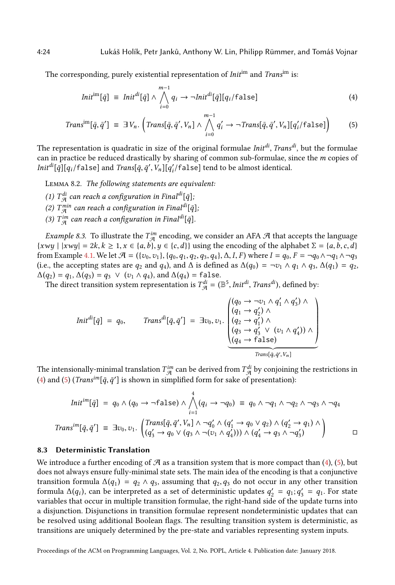The corresponding, purely existential representation of *Initim* and *Transim* is:

<span id="page-23-1"></span><span id="page-23-0"></span>
$$
Init^{im}[\bar{q}] \equiv \text{Init}^{di}[\bar{q}] \land \bigwedge_{i=0}^{m-1} q_i \rightarrow \neg \text{Init}^{di}[\bar{q}][q_i/\text{false}] \tag{4}
$$

$$
Transim[ $\bar{q}, \bar{q}'$ ] =  $\exists V_n$ .  $\left(Trans[\bar{q}, \bar{q}', V_n] \land \bigwedge_{i=0}^{m-1} q'_i \to \neg Trans[\bar{q}, \bar{q}', V_n][q'_i / \text{false}]\right)$  (5)
$$

The representation is quadratic in size of the original formulae  $\textit{Init}^{\textit{di}}, \textit{Trans}^{\textit{di}},$  but the formulae can in practice be reduced drastically by sharing of common sub-formulae, since the m copies of  $\textit{Init}^{\textit{di}}[\bar{q}][q_i/\textsf{false}]$  and  $\textit{Trans}[\bar{q},\bar{q}',V_n][q_i'/\textsf{false}]$  tend to be almost identical.

Lemma 8.2. The following statements are equivalent:

- (1)  $T^{di}_{\mathcal{A}}$  can reach a configuration in Final $^{di}[\bar{q}]$ ;
- (2)  $T^{min}_{\mathcal{A}}$  can reach a configuration in Final $^{di}[\bar{q}]$ ;
- (3)  $T^{im}_{\mathcal{A}}$  can reach a configuration in Final<sup>di</sup>[ $\bar{q}$ ].

<span id="page-23-2"></span>*Example 8.3.* To illustrate the  $T_{\mathcal{A}}^{im}$  encoding, we consider an AFA  $\mathcal A$  that accepts the language  $\{xwy \mid |xwy| = 2k, k \ge 1, x \in \{a, b\}, y \in \{c, d\}\}\$ using the encoding of the alphabet  $\Sigma = \{a, b, c, d\}$ from Example [4.1.](#page-7-1) We let  $\mathcal{A} = (\{v_0, v_1\}, \{q_0, q_1, q_2, q_3, q_4\}, \Delta, I, F)$  where  $I = q_0, F = \neg q_0 \wedge \neg q_1 \wedge \neg q_3$ (i.e., the accepting states are  $q_2$  and  $q_4$ ), and  $\Delta$  is defined as  $\Delta(q_0) = \neg v_1 \wedge q_1 \wedge q_3$ ,  $\Delta(q_1) = q_2$ ,  $\Delta(q_2) = q_1, \Delta(q_3) = q_3 \vee (v_1 \wedge q_4)$ , and  $\Delta(q_4) = \text{false}$ .

The direct transition system representation is  $T_{\mathcal{A}}^{di} = (\mathbb{B}^5, \textit{Init}^{di}, \textit{Trans}^{di})$ , defined by:

$$
Init^{di}[\bar{q}] = q_0, \qquad Trans^{di}[\bar{q}, \bar{q}'] = \exists v_0, v_1. \begin{pmatrix} (q_0 \rightarrow \neg v_1 \land q'_1 \land q'_3) \land \\ (q_1 \rightarrow q'_2) \land \\ (q_2 \rightarrow q'_1) \land \\ (q_3 \rightarrow q'_3 \lor (v_1 \land q'_4)) \land \\ (q_4 \rightarrow false) \end{pmatrix}
$$
  
Trans $[\bar{q}, \bar{q}', V_n]$ 

The intensionally-minimal translation  $T^{im}_{\cal A}$  can be derived from  $T^{di}_{\cal A}$  by conjoining the restrictions in [\(4\)](#page-23-0) and [\(5\)](#page-23-1) (*Trans<sup>im</sup>*[ $\bar{q}$ ,  $\bar{q}'$ ] is shown in simplified form for sake of presentation):

$$
Init^{im}[\bar{q}] = q_0 \wedge (q_0 \rightarrow \neg false) \wedge \bigwedge_{i=1}^4 (q_i \rightarrow \neg q_0) \equiv q_0 \wedge \neg q_1 \wedge \neg q_2 \wedge \neg q_3 \wedge \neg q_4
$$
  
\n
$$
Trans^{im}[\bar{q}, \bar{q}'] \equiv \exists v_0, v_1. \begin{pmatrix} Trans[\bar{q}, \bar{q}', V_n] \wedge \neg q'_0 \wedge (q'_1 \rightarrow q_0 \vee q_2) \wedge (q'_2 \rightarrow q_1) \wedge \\ (q'_3 \rightarrow q_0 \vee (q_3 \wedge \neg (v_1 \wedge q'_4))) \wedge (q'_4 \rightarrow q_3 \wedge \neg q'_3) \end{pmatrix} \qquad \Box
$$

## <span id="page-23-3"></span>8.3 Deterministic Translation

We introduce a further encoding of  $\mathcal A$  as a transition system that is more compact than [\(4\)](#page-23-0), [\(5\)](#page-23-1), but does not always ensure fully-minimal state sets. The main idea of the encoding is that a conjunctive transition formula  $\Delta(q_1) = q_2 \wedge q_3$ , assuming that  $q_2, q_3$  do not occur in any other transition formula  $\Delta(q_i)$ , can be interpreted as a set of deterministic updates  $q'_2 = q_1$ ;  $q'_3 = q_1$ . For state variables that occur in multiple transition formulae, the right-hand side of the update turns into a disjunction. Disjunctions in transition formulae represent nondeterministic updates that can be resolved using additional Boolean flags. The resulting transition system is deterministic, as transitions are uniquely determined by the pre-state and variables representing system inputs.

Proceedings of the ACM on Programming Languages, Vol. 2, No. POPL, Article 4. Publication date: January 2018.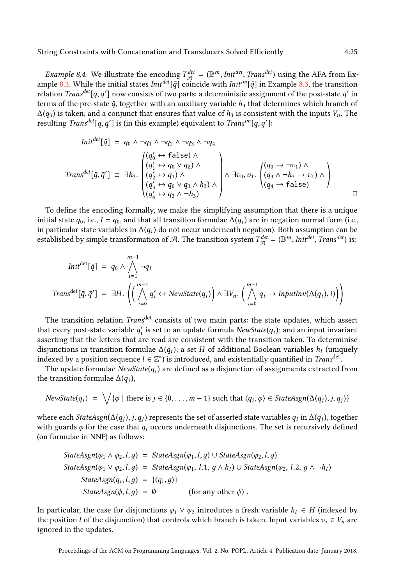*Example 8.4.* We illustrate the encoding  $T_{\mathcal{A}}^{det} = (\mathbb{B}^m, Int^{det}, Trans^{det})$  using the AFA from Ex-ample [8.3.](#page-23-2) While the initial states Init<sup>det</sup>[ $\bar{q}$ ] coincide with Init<sup>im</sup>[ $\bar{q}$ ] in Example [8.3,](#page-23-2) the transition relation  $\it Trans^{det}[\bar q,\bar q']$  now consists of two parts: a deterministic assignment of the post-state  $\bar q'$  in terms of the pre-state  $\bar{q}$ , together with an auxiliary variable  $h_3$  that determines which branch of  $\Delta(q_3)$  is taken; and a conjunct that ensures that value of  $h_3$  is consistent with the inputs  $V_n$ . The resulting *Trans<sup>det</sup>[* $\bar{q},\bar{q}^\prime$ *]* is (in this example) equivalent to *Trans<sup>im</sup>[* $\bar{q},\bar{q}^\prime$ *]*:

$$
Init^{det}[\bar{q}] = q_0 \wedge \neg q_1 \wedge \neg q_2 \wedge \neg q_3 \wedge \neg q_4
$$
\n
$$
Trans^{det}[\bar{q}, \bar{q}'] = \exists h_3. \begin{pmatrix} (q'_0 \leftrightarrow \text{false}) \wedge \\ (q'_1 \leftrightarrow q_0 \vee q_2) \wedge \\ (q'_2 \leftrightarrow q_1) \wedge \\ (q'_3 \leftrightarrow q_0 \vee q_3 \wedge h_3) \wedge \\ (q'_4 \leftrightarrow q_3 \wedge \neg h_3) \end{pmatrix} \wedge \exists v_0, v_1. \begin{pmatrix} (q_0 \rightarrow \neg v_1) \wedge \\ (q_3 \wedge \neg h_3 \rightarrow v_1) \wedge \\ (q_4 \rightarrow \text{false}) \end{pmatrix}
$$

To define the encoding formally, we make the simplifying assumption that there is a unique initial state  $q_0$ , i.e.,  $I = q_0$ , and that all transition formulae  $\Delta(q_i)$  are in negation normal form (i.e., in particular state variables in  $\Delta(q_i)$  do not occur underneath negation). Both assumption can be established by simple transformation of A. The transition system  $T^{det}_{\mathcal{A}} = (\mathbb{B}^m,Init^{det}, Trans^{det})$  is:

$$
Init^{det}[\bar{q}] = q_0 \wedge \bigwedge_{i=1}^{m-1} \neg q_i
$$
  
Trans<sup>det</sup>[\bar{q}, \bar{q}'] = \exists H. \left( \bigwedge\_{i=0}^{m-1} q'\_i \leftrightarrow NewState(q\_i) \bigwedge \exists V\_n. \bigwedge\_{i=0}^{m-1} q\_i \rightarrow InputInv(\Delta(q\_i), i) \big) \right)

The transition relation *Trans<sup>det</sup>* consists of two main parts: the state updates, which assert that every post-state variable  $q'_i$  is set to an update formula  $\mathit{NewState}(q_i)$ ; and an input invariant asserting that the letters that are read are consistent with the transition taken. To determinise disjunctions in transition formulae  $\Delta(q_i)$ , a set H of additional Boolean variables  $h_l$  (uniquely indexed by a position sequence  $l \in \mathbb{Z}^*$ ) is introduced, and existentially quantified in  $\it Trans^\mathrm{det}.$ 

The update formulae  $\emph{NewState}(q_i)$  are defined as a disjunction of assignments extracted from the transition formulae  $\Delta(q_j)$ ,

$$
NewState(q_i) = \bigvee \{ \varphi \mid \text{there is } j \in \{0, \ldots, m-1\} \text{ such that } \langle q_i, \varphi \rangle \in StateAsgn(\Delta(q_j), j, q_j) \}
$$

where each  $StateAsgn(\Delta(q_j),j,q_j)$  represents the set of asserted state variables  $q_i$  in  $\Delta(q_j)$ , together with guards  $\varphi$  for the case that  $q_i$  occurs underneath disjunctions. The set is recursively defined (on formulae in NNF) as follows:

$$
StateAsgn(\varphi_1 \land \varphi_2, l, g) = StateAsgn(\varphi_1, l, g) \cup StateAsgn(\varphi_2, l, g)
$$
\n
$$
StateAsgn(\varphi_1 \lor \varphi_2, l, g) = StateAsgn(\varphi_1, l.1, g \land h_l) \cup StateAsgn(\varphi_2, l.2, g \land \neg h_l)
$$
\n
$$
StateAsgn(q_i, l, g) = \{ \langle q_i, g \rangle \}
$$
\n
$$
StateAsgn(\varphi, l, g) = \emptyset \qquad \text{(for any other } \varphi \text{)}.
$$

In particular, the case for disjunctions  $\varphi_1 \lor \varphi_2$  introduces a fresh variable  $h_l \in H$  (indexed by the position l of the disjunction) that controls which branch is taken. Input variables  $v_i \in V_n$  are ignored in the updates.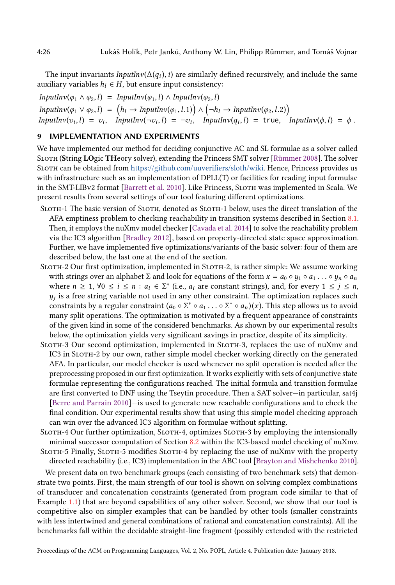The input invariants  $InputInv(\Delta(q_i), i)$  are similarly defined recursively, and include the same auxiliary variables  $h_l \in H$ , but ensure input consistency:

 $InputInv(\varphi_1 \wedge \varphi_2, l) = InputInv(\varphi_1, l) \wedge InputInv(\varphi_2, l)$  $InputInv(\varphi_1 \lor \varphi_2, l) = (h_l \rightarrow InputInv(\varphi_1, l.1)) \land (\neg h_l \rightarrow InputInv(\varphi_2, l.2))$  $InputInv(v_i, l) = v_i,$   $InputInv(\neg v_i, l) = \neg v_i,$   $InputInv(q_i, l) = true,$   $InputInv(\phi, l) = \phi$ .

# <span id="page-25-0"></span>9 IMPLEMENTATION AND EXPERIMENTS

We have implemented our method for deciding conjunctive AC and SL formulae as a solver called SLOTH (String LOgic THeory solver), extending the Princess SMT solver [\[Rümmer 2008\]](#page-30-19). The solver Sloth can be obtained from [https://github.com/uuverifiers/sloth/wiki.](https://github.com/uuverifiers/sloth/wiki) Hence, Princess provides us with infrastructure such as an implementation of DPLL(T) or facilities for reading input formulae in the SMT-LIBv2 format [\[Barrett et al.](#page-28-11) [2010\]](#page-28-11). Like Princess, Sloth was implemented in Scala. We present results from several settings of our tool featuring different optimizations.

- SLOTH-1 The basic version of SLOTH, denoted as SLOTH-1 below, uses the direct translation of the AFA emptiness problem to checking reachability in transition systems described in Section [8.1.](#page-21-1) Then, it employs the nuXmv model checker [\[Cavada et al.](#page-29-20) [2014\]](#page-29-20) to solve the reachability problem via the IC3 algorithm [\[Bradley 2012\]](#page-28-5), based on property-directed state space approximation. Further, we have implemented five optimizations/variants of the basic solver: four of them are described below, the last one at the end of the section.
- SLOTH-2 Our first optimization, implemented in SLOTH-2, is rather simple: We assume working with strings over an alphabet  $\Sigma$  and look for equations of the form  $x = a_0 \circ y_1 \circ a_1 \dots \circ y_n \circ a_n$ where  $n \geq 1$ ,  $\forall 0 \leq i \leq n : a_i \in \Sigma^*$  (i.e.,  $a_i$  are constant strings), and, for every  $1 \leq j \leq n$ ,  $y_j$  is a free string variable not used in any other constraint. The optimization replaces such constraints by a regular constraint  $(a_0 \circ \Sigma^* \circ a_1 \dots \circ \Sigma^* \circ a_n)(x)$ . This step allows us to avoid many split operations. The optimization is motivated by a frequent appearance of constraints of the given kind in some of the considered benchmarks. As shown by our experimental results below, the optimization yields very significant savings in practice, despite of its simplicity.
- SLOTH-3 Our second optimization, implemented in SLOTH-3, replaces the use of nuXmv and IC3 in Sloth-2 by our own, rather simple model checker working directly on the generated AFA. In particular, our model checker is used whenever no split operation is needed after the preprocessing proposed in our first optimization. It works explicitly with sets of conjunctive state formulae representing the configurations reached. The initial formula and transition formulae are first converted to DNF using the Tseytin procedure. Then a SAT solver-in particular, sat4j [\[Berre and Parrain 2010\]](#page-28-12)—is used to generate new reachable configurations and to check the final condition. Our experimental results show that using this simple model checking approach can win over the advanced IC3 algorithm on formulae without splitting.
- SLOTH-4 Our further optimization, SLOTH-4, optimizes SLOTH-3 by employing the intensionally minimal successor computation of Section [8.2](#page-22-3) within the IC3-based model checking of nuXmv.

SLOTH-5 Finally, SLOTH-5 modifies SLOTH-4 by replacing the use of nuXmv with the property directed reachability (i.e., IC3) implementation in the ABC tool [\[Brayton and Mishchenko 2010\]](#page-28-7).

We present data on two benchmark groups (each consisting of two benchmark sets) that demonstrate two points. First, the main strength of our tool is shown on solving complex combinations of transducer and concatenation constraints (generated from program code similar to that of Example [1.1\)](#page-1-0) that are beyond capabilities of any other solver. Second, we show that our tool is competitive also on simpler examples that can be handled by other tools (smaller constraints with less intertwined and general combinations of rational and concatenation constraints). All the benchmarks fall within the decidable straight-line fragment (possibly extended with the restricted

Proceedings of the ACM on Programming Languages, Vol. 2, No. POPL, Article 4. Publication date: January 2018.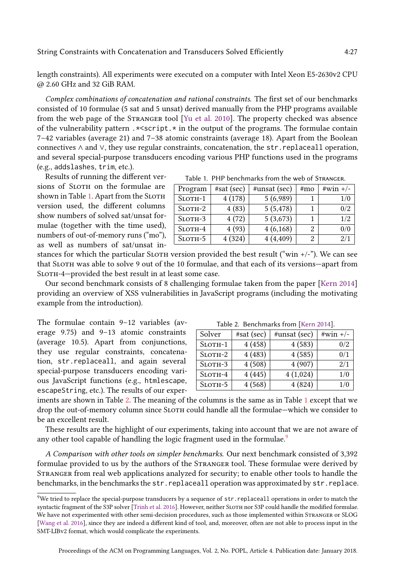length constraints). All experiments were executed on a computer with Intel Xeon E5-2630v2 CPU @ 2.60 GHz and 32 GiB RAM.

Complex combinations of concatenation and rational constraints. The first set of our benchmarks consisted of 10 formulae (5 sat and 5 unsat) derived manually from the PHP programs available from the web page of the Stranger tool [\[Yu et al.](#page-31-3) [2010\]](#page-31-3). The property checked was absence of the vulnerability pattern .\*<script.\* in the output of the programs. The formulae contain  $7-42$  variables (average 21) and  $7-38$  atomic constraints (average 18). Apart from the Boolean connectives ∧ and ∨, they use regular constraints, concatenation, the str.replaceall operation, and several special-purpose transducers encoding various PHP functions used in the programs (e.g., addslashes, trim, etc.).

Results of running the different versions of SLOTH on the formulae are shown in Table [1.](#page-26-0) Apart from the SLOTH version used, the different columns show numbers of solved sat/unsat formulae (together with the time used), numbers of out-of-memory runs ("mo"), as well as numbers of sat/unsat in-

Table 1. PHP benchmarks from the web of Stranger.

<span id="page-26-0"></span>

| Program       | #sat (sec) | #unsat (sec) | #mo | $\#win +/-$ |
|---------------|------------|--------------|-----|-------------|
| $S$ LOTH $-1$ | 4(178)     | 5(6,989)     |     | 1/0         |
| $S$ LOTH $-2$ | 4(83)      | 5(5, 478)    |     | 0/2         |
| SLOTH-3       | 4(72)      | 5(3,673)     |     | 1/2         |
| $S$ LOTH-4    | 4(93)      | 4(6,168)     |     | 0/0         |
| $S$ LOTH $-5$ | 4(324)     | 4(4,409)     |     | 2/1         |

stances for which the particular SLOTH version provided the best result ("win  $+/-$ "). We can see that SLOTH was able to solve 9 out of the 10 formulae, and that each of its versions–apart from SLOTH-4-provided the best result in at least some case.

Our second benchmark consists of 8 challenging formulae taken from the paper [\[Kern 2014\]](#page-29-15) providing an overview of XSS vulnerabilities in JavaScript programs (including the motivating example from the introduction).

The formulae contain  $9-12$  variables (average  $9.75$ ) and  $9-13$  atomic constraints (average 10.5). Apart from conjunctions, they use regular constraints, concatenation, str.replaceall, and again several special-purpose transducers encoding various JavaScript functions (e.g., htmlescape, escapeString, etc.). The results of our exper-

Table 2. Benchmarks from [\[Kern 2014\]](#page-29-15).

<span id="page-26-1"></span>

| Solver        | $#sat$ (sec) | #unsat (sec) | $\#win +/-$ |
|---------------|--------------|--------------|-------------|
| $S$ LOTH $-1$ | 4(458)       | 4(583)       | 0/2         |
| $S$ LOTH $-2$ | 4(483)       | 4(585)       | 0/1         |
| $S$ LOTH $-3$ | 4(508)       | 4(907)       | 2/1         |
| $S$ LOTH-4    | 4(445)       | 4(1,024)     | 1/0         |
| $S$ LOTH $-5$ | 4(568)       | 4(824)       | 1/0         |

iments are shown in Table [2.](#page-26-1) The meaning of the columns is the same as in Table [1](#page-26-0) except that we drop the out-of-memory column since SLOTH could handle all the formulae–which we consider to be an excellent result.

These results are the highlight of our experiments, taking into account that we are not aware of any other tool capable of handling the logic fragment used in the formulae.<sup>[9](#page-26-2)</sup>

A Comparison with other tools on simpler benchmarks. Our next benchmark consisted of 3,392 formulae provided to us by the authors of the Stranger tool. These formulae were derived by Stranger from real web applications analyzed for security; to enable other tools to handle the benchmarks, in the benchmarks the str.replaceall operation was approximated by str.replace.

<span id="page-26-2"></span><sup>&</sup>lt;sup>9</sup>We tried to replace the special-purpose transducers by a sequence of  $str$ . replaceall operations in order to match the syntactic fragment of the S3P solver [\[Trinh et al.](#page-30-10) [2016\]](#page-30-10). However, neither Sloth nor S3P could handle the modified formulae. We have not experimented with other semi-decision procedures, such as those implemented within Stranger or SLOG [\[Wang et al.](#page-31-9) [2016\]](#page-31-9), since they are indeed a different kind of tool, and, moreover, often are not able to process input in the SMT-LIBv2 format, which would complicate the experiments.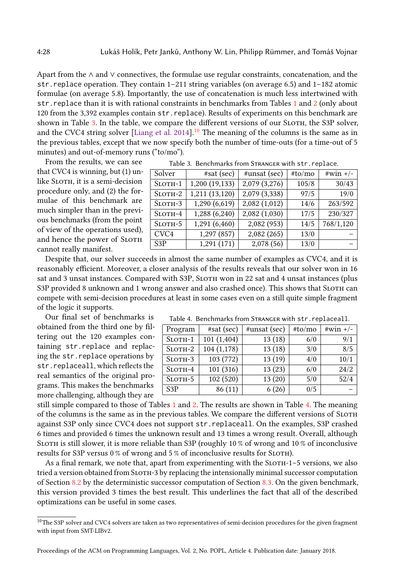Apart from the ∧ and ∨ connectives, the formulae use regular constraints, concatenation, and the str. replace operation. They contain  $1-211$  string variables (on average 6.5) and  $1-182$  atomic formulae (on average 5.8). Importantly, the use of concatenation is much less intertwined with str.replace than it is with rational constraints in benchmarks from Tables [1](#page-26-0) and [2](#page-26-1) (only about 120 from the 3,392 examples contain str.replace). Results of experiments on this benchmark are shown in Table [3.](#page-27-0) In the table, we compare the different versions of our SLOTH, the S3P solver, and the CVC4 string solver [\[Liang et al.](#page-30-5)  $2014$ ].<sup>[10](#page-27-1)</sup> The meaning of the columns is the same as in the previous tables, except that we now specify both the number of time-outs (for a time-out of 5 minutes) and out-of-memory runs ("to/mo").

From the results, we can see that CVC4 is winning, but (1) unlike SLOTH, it is a semi-decision procedure only, and (2) the formulae of this benchmark are much simpler than in the previous benchmarks (from the point of view of the operations used), and hence the power of SLOTH cannot really manifest.

Despite that, our solver succeeds in almost the same number of examples as CVC4, and it is reasonably efficient. Moreover, a closer analysis of the results reveals that our solver won in 16 sat and 3 unsat instances. Compared with S3P, SLOTH won in 22 sat and 4 unsat instances (plus S3P provided 8 unknown and 1 wrong answer and also crashed once). This shows that SLOTH can compete with semi-decision procedures at least in some cases even on a still quite simple fragment of the logic it supports.

Our final set of benchmarks is obtained from the third one by filtering out the 120 examples containing str.replace and replacing the str.replace operations by str.replaceall, which reflects the real semantics of the original programs. This makes the benchmarks more challenging, although they are

| Table 3. Benchmarks from STRANGER with str. replace. |  |
|------------------------------------------------------|--|
|------------------------------------------------------|--|

<span id="page-27-0"></span>

| Solver           | $#sat$ (sec)  | $\#$ unsat (sec)             | #to/mo | $\#win +/-$ |
|------------------|---------------|------------------------------|--------|-------------|
| $S$ LOTH-1       | 1,200(19,133) | 2,079(3,276)                 | 105/8  | 30/43       |
| $S$ LOTH $-2$    | 1,211(13,120) | 2,079(3,338)                 | 97/5   | 19/0        |
| SLOTH-3          | 1,290 (6,619) | $2,082$ $\overline{(1,012)}$ | 14/6   | 263/592     |
| $S$ LOTH-4       | 1,288 (6,240) | 2,082(1,030)                 | 17/5   | 230/327     |
| $S$ LOTH $-5$    | 1,291 (6,460) | 2,082 (953)                  | 14/5   | 768/1,120   |
| CVC4             | 1,297(857)    | 2,082 (265)                  | 13/0   |             |
| S <sub>3</sub> P | 1,291(171)    | 2,078 (56)                   | 13/0   |             |

Table 4. Benchmarks from Stranger with str.replaceall.

<span id="page-27-2"></span>

| Program          | #sat (sec) | #unsat (sec) | #to/mo | $#win +/-$ |
|------------------|------------|--------------|--------|------------|
| $S$ LOTH $-1$    | 101(1,404) | 13(18)       | 6/0    | 9/1        |
| $S$ LOTH $-2$    | 104(1,178) | 13(18)       | 3/0    | 8/5        |
| $S$ LOTH $-3$    | 103 (772)  | 13(19)       | 4/0    | 10/1       |
| $S$ LOTH-4       | 101(316)   | 13(23)       | 6/0    | 24/2       |
| $S$ LOTH $-5$    | 102 (520)  | 13(20)       | 5/0    | 52/4       |
| S <sub>3</sub> P | 86(11)     | 6(26)        | 0/5    |            |

still simple compared to those of Tables [1](#page-26-0) and [2.](#page-26-1) The results are shown in Table [4.](#page-27-2) The meaning of the columns is the same as in the previous tables. We compare the different versions of Sloth against S3P only since CVC4 does not support str.replaceall. On the examples, S3P crashed 6 times and provided 6 times the unknown result and 13 times a wrong result. Overall, although Sloth is still slower, it is more reliable than S3P (roughly 10 % of wrong and 10 % of inconclusive results for S3P versus 0 % of wrong and 5 % of inconclusive results for SLOTH).

As a final remark, we note that, apart from experimenting with the  $SLOTH-1-5$  versions, we also tried a version obtained from SLOTH-3 by replacing the intensionally minimal successor computation of Section [8.2](#page-22-3) by the deterministic successor computation of Section [8.3.](#page-23-3) On the given benchmark, this version provided 3 times the best result. This underlines the fact that all of the described optimizations can be useful in some cases.

<span id="page-27-1"></span> $^{10}\mathrm{The}$  S3P solver and CVC4 solvers are taken as two representatives of semi-decision procedures for the given fragment with input from SMT-LIBv2.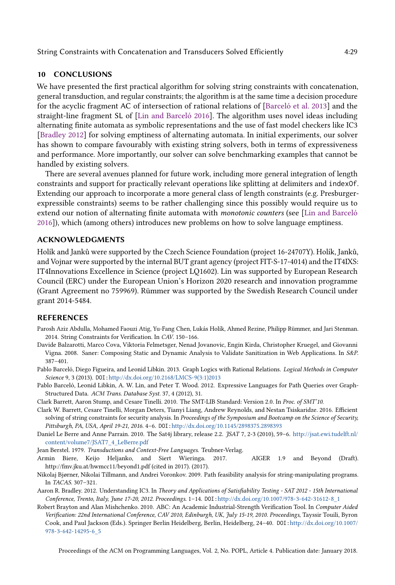# <span id="page-28-9"></span>10 CONCLUSIONS

We have presented the first practical algorithm for solving string constraints with concatenation, general transduction, and regular constraints; the algorithm is at the same time a decision procedure for the acyclic fragment AC of intersection of rational relations of [\[Barceló et al.](#page-28-4) [2013\]](#page-28-4) and the straight-line fragment SL of [\[Lin and Barceló 2016\]](#page-30-8). The algorithm uses novel ideas including alternating finite automata as symbolic representations and the use of fast model checkers like IC3 [\[Bradley 2012\]](#page-28-5) for solving emptiness of alternating automata. In initial experiments, our solver has shown to compare favourably with existing string solvers, both in terms of expressiveness and performance. More importantly, our solver can solve benchmarking examples that cannot be handled by existing solvers.

There are several avenues planned for future work, including more general integration of length constraints and support for practically relevant operations like splitting at delimiters and indexOf. Extending our approach to incorporate a more general class of length constraints (e.g. Presburgerexpressible constraints) seems to be rather challenging since this possibly would require us to extend our notion of alternating finite automata with monotonic counters (see [\[Lin and Barceló](#page-30-8) [2016\]](#page-30-8)), which (among others) introduces new problems on how to solve language emptiness.

# ACKNOWLEDGMENTS

Holík and Janků were supported by the Czech Science Foundation (project 16-24707Y). Holík, Janků, and Vojnar were supported by the internal BUT grant agency (project FIT-S-17-4014) and the IT4IXS: IT4Innovations Excellence in Science (project LQ1602). Lin was supported by European Research Council (ERC) under the European Union's Horizon 2020 research and innovation programme (Grant Agreement no 759969). Rümmer was supported by the Swedish Research Council under grant 2014-5484.

# REFERENCES

- <span id="page-28-1"></span>Parosh Aziz Abdulla, Mohamed Faouzi Atig, Yu-Fang Chen, Lukás Holík, Ahmed Rezine, Philipp Rümmer, and Jari Stenman. 2014. String Constraints for Verification. In CAV. 150-166.
- <span id="page-28-2"></span>Davide Balzarotti, Marco Cova, Viktoria Felmetsger, Nenad Jovanovic, Engin Kirda, Christopher Kruegel, and Giovanni Vigna. 2008. Saner: Composing Static and Dynamic Analysis to Validate Sanitization in Web Applications. In S&P.  $387 - 401.$
- <span id="page-28-4"></span>Pablo Barceló, Diego Figueira, and Leonid Libkin. 2013. Graph Logics with Rational Relations. Logical Methods in Computer Science 9, 3 (2013). DOI:[http://dx.doi.org/10.2168/LMCS-9\(3:1\)2013](http://dx.doi.org/10.2168/LMCS-9(3:1)2013)
- <span id="page-28-8"></span>Pablo Barceló, Leonid Libkin, A. W. Lin, and Peter T. Wood. 2012. Expressive Languages for Path Queries over Graph-Structured Data. ACM Trans. Database Syst. 37, 4 (2012), 31.
- <span id="page-28-11"></span>Clark Barrett, Aaron Stump, and Cesare Tinelli. 2010. The SMT-LIB Standard: Version 2.0. In Proc. of SMT'10.
- <span id="page-28-3"></span>Clark W. Barrett, Cesare Tinelli, Morgan Deters, Tianyi Liang, Andrew Reynolds, and Nestan Tsiskaridze. 2016. Efficient solving of string constraints for security analysis. In Proceedings of the Symposium and Bootcamp on the Science of Security, Pittsburgh, PA, USA, April 19-21, 2016. 4-6. DOI:<http://dx.doi.org/10.1145/2898375.2898393>
- <span id="page-28-12"></span>Daniel Le Berre and Anne Parrain. 2010. The Sat4j library, release 2.2. JSAT 7, 2-3 (2010), 59-6. [http://jsat.ewi.tudelft.nl/](http://jsat.ewi.tudelft.nl/content/volume7/JSAT7_4_LeBerre.pdf) [content/volume7/JSAT7\\_4\\_LeBerre.pdf](http://jsat.ewi.tudelft.nl/content/volume7/JSAT7_4_LeBerre.pdf)
- <span id="page-28-6"></span>Jean Berstel. 1979. Transductions and Context-Free Languages. Teubner-Verlag.
- <span id="page-28-10"></span>Armin Biere, Keijo Heljanko, and Siert Wieringa. 2017. AIGER 1.9 and Beyond (Draft). http://fmv.jku.at/hwmcc11/beyond1.pdf (cited in 2017). (2017).
- <span id="page-28-0"></span>Nikolaj Bjørner, Nikolai Tillmann, and Andrei Voronkov. 2009. Path feasibility analysis for string-manipulating programs. In TACAS. 307-321.
- <span id="page-28-5"></span>Aaron R. Bradley. 2012. Understanding IC3. In Theory and Applications of Satisfiability Testing - SAT 2012 - 15th International Conference, Trento, Italy, June 17-20, 2012. Proceedings. 1-14. DOI:[http://dx.doi.org/10.1007/978-3-642-31612-8\\_1](http://dx.doi.org/10.1007/978-3-642-31612-8_1)
- <span id="page-28-7"></span>Robert Brayton and Alan Mishchenko. 2010. ABC: An Academic Industrial-Strength Verification Tool. In Computer Aided Verification: 22nd International Conference, CAV 2010, Edinburgh, UK, July 15-19, 2010. Proceedings, Tayssir Touili, Byron Cook, and Paul Jackson (Eds.). Springer Berlin Heidelberg, Berlin, Heidelberg, 24-40. DOI:[http://dx.doi.org/10.1007/](http://dx.doi.org/10.1007/978-3-642-14295-6_5) [978-3-642-14295-6\\_5](http://dx.doi.org/10.1007/978-3-642-14295-6_5)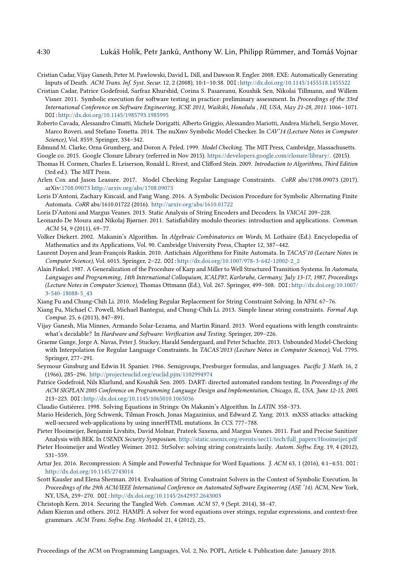- <span id="page-29-0"></span>Cristian Cadar, Vijay Ganesh, Peter M. Pawlowski, David L. Dill, and Dawson R. Engler. 2008. EXE: Automatically Generating Inputs of Death. ACM Trans. Inf. Syst. Secur. 12, 2 (2008), 10:1-10:38. DOI:<http://dx.doi.org/10.1145/1455518.1455522>
- <span id="page-29-1"></span>Cristian Cadar, Patrice Godefroid, Sarfraz Khurshid, Corina S. Pasareanu, Koushik Sen, Nikolai Tillmann, and Willem Visser. 2011. Symbolic execution for software testing in practice: preliminary assessment. In Proceedings of the 33rd International Conference on Software Engineering, ICSE 2011, Waikiki, Honolulu , HI, USA, May 21-28, 2011. 1066-1071. DOI:<http://dx.doi.org/10.1145/1985793.1985995>
- <span id="page-29-20"></span>Roberto Cavada, Alessandro Cimatti, Michele Dorigatti, Alberto Griggio, Alessandro Mariotti, Andrea Micheli, Sergio Mover, Marco Roveri, and Stefano Tonetta. 2014. The nuXmv Symbolic Model Checker. In CAV'14 (Lecture Notes in Computer Science), Vol. 8559. Springer, 334-342.

<span id="page-29-24"></span><span id="page-29-16"></span>Edmund M. Clarke, Orna Grumberg, and Doron A. Peled. 1999. Model Checking. The MIT Press, Cambridge, Massachusetts. Google co. 2015. Google Closure Library (referred in Nov 2015). [https://developers.google.com/closure/library/.](https://developers.google.com/closure/library/) (2015).

- <span id="page-29-22"></span>Thomas H. Cormen, Charles E. Leiserson, Ronald L. Rivest, and Clifford Stein. 2009. Introduction to Algorithms, Third Edition (3rd ed.). The MIT Press.
- <span id="page-29-19"></span>Arlen Cox and Jason Leasure. 2017. Model Checking Regular Language Constraints. CoRR abs/1708.09073 (2017). arXiv[:1708.09073 http://arxiv.org/abs/1708.09073](http://arxiv.org/abs/1708.09073)
- <span id="page-29-18"></span>Loris D'Antoni, Zachary Kincaid, and Fang Wang. 2016. A Symbolic Decision Procedure for Symbolic Alternating Finite Automata. CoRR abs/1610.01722 (2016). <http://arxiv.org/abs/1610.01722>

<span id="page-29-4"></span>Loris D'Antoni and Margus Veanes. 2013. Static Analysis of String Encoders and Decoders. In VMCAI. 209-228.

- <span id="page-29-11"></span>Leonardo De Moura and Nikolaj Bjørner. 2011. Satisfiability modulo theories: introduction and applications. Commun. ACM 54, 9 (2011), 69-77.
- <span id="page-29-12"></span>Volker Diekert. 2002. Makanin's Algorithm. In Algebraic Combinatorics on Words, M. Lothaire (Ed.). Encyclopedia of Mathematics and its Applications, Vol. 90. Cambridge University Press, Chapter 12, 387-442.
- <span id="page-29-26"></span>Laurent Doyen and Jean-François Raskin. 2010. Antichain Algorithms for Finite Automata. In TACAS'10 (Lecture Notes in Computer Science), Vol. 6015. Springer, 2-22. DOI:[http://dx.doi.org/10.1007/978-3-642-12002-2\\_2](http://dx.doi.org/10.1007/978-3-642-12002-2_2)
- <span id="page-29-25"></span>Alain Finkel. 1987. A Generalization of the Procedure of Karp and Miller to Well Structured Transition Systems. In Automata, Languages and Programming, 14th International Colloquium, ICALP87, Karlsruhe, Germany, July 13-17, 1987, Proceedings (Lecture Notes in Computer Science), Thomas Ottmann (Ed.), Vol. 267. Springer, 499-508. DOI:[http://dx.doi.org/10.1007/](http://dx.doi.org/10.1007/3-540-18088-5_43) [3-540-18088-5\\_43](http://dx.doi.org/10.1007/3-540-18088-5_43)
- <span id="page-29-5"></span>Xiang Fu and Chung-Chih Li. 2010. Modeling Regular Replacement for String Constraint Solving. In NFM. 67-76.
- <span id="page-29-6"></span>Xiang Fu, Michael C. Powell, Michael Bantegui, and Chung-Chih Li. 2013. Simple linear string constraints. Formal Asp. Comput. 25, 6 (2013), 847-891.
- <span id="page-29-7"></span>Vijay Ganesh, Mia Minnes, Armando Solar-Lezama, and Martin Rinard. 2013. Word equations with length constraints: what's decidable? In Hardware and Software: Verification and Testing. Springer, 209-226.
- <span id="page-29-23"></span>Graeme Gange, Jorge A. Navas, Peter J. Stuckey, Harald Sùndergaard, and Peter Schachte. 2013. Unbounded Model-Checking with Interpolation for Regular Language Constraints. In TACAS'2013 (Lecture Notes in Computer Science), Vol. 7795. Springer, 277-291.
- <span id="page-29-21"></span>Seymour Ginsburg and Edwin H. Spanier. 1966. Semigroups, Presburger formulas, and languages. Pacific J. Math. 16, 2 (1966), 285-296. <http://projecteuclid.org/euclid.pjm/1102994974>
- <span id="page-29-2"></span>Patrice Godefroid, Nils Klarlund, and Koushik Sen. 2005. DART: directed automated random testing. In Proceedings of the ACM SIGPLAN 2005 Conference on Programming Language Design and Implementation, Chicago, IL, USA, June 12-15, 2005. 213-223. DOI:<http://dx.doi.org/10.1145/1065010.1065036>
- <span id="page-29-13"></span>Claudio Gutiérrez. 1998. Solving Equations in Strings: On Makanin's Algorithm. In LATIN. 358-373.
- <span id="page-29-17"></span>Mario Heiderich, Jörg Schwenk, Tilman Frosch, Jonas Magazinius, and Edward Z. Yang. 2013. mXSS attacks: attacking well-secured web-applications by using innerHTML mutations. In CCS. 777-788.
- <span id="page-29-8"></span>Pieter Hooimeijer, Benjamin Livshits, David Molnar, Prateek Saxena, and Margus Veanes. 2011. Fast and Precise Sanitizer Analysis with BEK. In USENIX Security Symposium. [http://static.usenix.org/events/sec11/tech/full\\_papers/Hooimeijer.pdf](http://static.usenix.org/events/sec11/tech/full_papers/Hooimeijer.pdf)
- <span id="page-29-9"></span>Pieter Hooimeijer and Westley Weimer. 2012. StrSolve: solving string constraints lazily. Autom. Softw. Eng. 19, 4 (2012),  $531 - 559.$
- <span id="page-29-14"></span>Artur Jez. 2016. Recompression: A Simple and Powerful Technique for Word Equations. J. ACM 63, 1 (2016), 4:1-4:51. DOI: <http://dx.doi.org/10.1145/2743014>
- <span id="page-29-3"></span>Scott Kausler and Elena Sherman. 2014. Evaluation of String Constraint Solvers in the Context of Symbolic Execution. In Proceedings of the 29th ACM/IEEE International Conference on Automated Software Engineering (ASE '14). ACM, New York, NY, USA, 259-270. DOI:<http://dx.doi.org/10.1145/2642937.2643003>

<span id="page-29-15"></span>Christoph Kern. 2014. Securing the Tangled Web. Commun. ACM 57, 9 (Sept. 2014), 38-47.

<span id="page-29-10"></span>Adam Kiezun and others. 2012. HAMPI: A solver for word equations over strings, regular expressions, and context-free grammars. ACM Trans. Softw. Eng. Methodol. 21, 4 (2012), 25.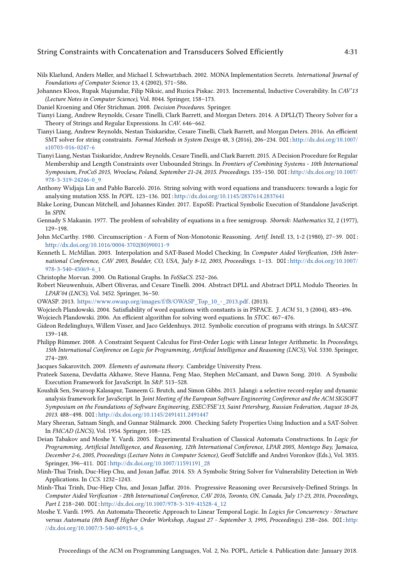- <span id="page-30-16"></span>Nils Klarlund, Anders Mùller, and Michael I. Schwartzbach. 2002. MONA Implementation Secrets. International Journal of Foundations of Computer Science 13, 4 (2002), 571-586.
- <span id="page-30-24"></span>Johannes Kloos, Rupak Majumdar, Filip Niksic, and Ruzica Piskac. 2013. Incremental, Inductive Coverability. In CAV'13 (Lecture Notes in Computer Science), Vol. 8044. Springer, 158-173.
- <span id="page-30-22"></span>Daniel Kroening and Ofer Strichman. 2008. Decision Procedures. Springer.
- <span id="page-30-5"></span>Tianyi Liang, Andrew Reynolds, Cesare Tinelli, Clark Barrett, and Morgan Deters. 2014. A DPLL(T) Theory Solver for a Theory of Strings and Regular Expressions. In CAV. 646-662.
- <span id="page-30-6"></span>Tianyi Liang, Andrew Reynolds, Nestan Tsiskaridze, Cesare Tinelli, Clark Barrett, and Morgan Deters. 2016. An efficient SMT solver for string constraints. Formal Methods in System Design 48, 3 (2016), 206-234. DOI:[http://dx.doi.org/10.1007/](http://dx.doi.org/10.1007/s10703-016-0247-6) [s10703-016-0247-6](http://dx.doi.org/10.1007/s10703-016-0247-6)
- <span id="page-30-7"></span>Tianyi Liang, Nestan Tsiskaridze, Andrew Reynolds, Cesare Tinelli, and Clark Barrett. 2015. A Decision Procedure for Regular Membership and Length Constraints over Unbounded Strings. In Frontiers of Combining Systems - 10th International Symposium, FroCoS 2015, Wroclaw, Poland, September 21-24, 2015. Proceedings. 135-150. DOI:[http://dx.doi.org/10.1007/](http://dx.doi.org/10.1007/978-3-319-24246-0_9) [978-3-319-24246-0\\_9](http://dx.doi.org/10.1007/978-3-319-24246-0_9)
- <span id="page-30-8"></span>Anthony Widjaja Lin and Pablo Barceló. 2016. String solving with word equations and transducers: towards a logic for analysing mutation XSS. In POPL. 123-136. DOI:<http://dx.doi.org/10.1145/2837614.2837641>
- <span id="page-30-1"></span>Blake Loring, Duncan Mitchell, and Johannes Kinder. 2017. ExpoSE: Practical Symbolic Execution of Standalone JavaScript. In SPIN.
- <span id="page-30-11"></span>Gennady S Makanin. 1977. The problem of solvability of equations in a free semigroup. Sbornik: Mathematics 32, 2 (1977), 129-198.
- <span id="page-30-25"></span>John McCarthy. 1980. Circumscription - A Form of Non-Monotonic Reasoning. Artif. Intell. 13, 1-2 (1980), 27-39. DOI: [http://dx.doi.org/10.1016/0004-3702\(80\)90011-9](http://dx.doi.org/10.1016/0004-3702(80)90011-9)
- <span id="page-30-18"></span>Kenneth L. McMillan. 2003. Interpolation and SAT-Based Model Checking. In Computer Aided Verification, 15th International Conference, CAV 2003, Boulder, CO, USA, July 8-12, 2003, Proceedings. 1-13. DOI:[http://dx.doi.org/10.1007/](http://dx.doi.org/10.1007/978-3-540-45069-6_1) [978-3-540-45069-6\\_1](http://dx.doi.org/10.1007/978-3-540-45069-6_1)
- <span id="page-30-20"></span>Christophe Morvan. 2000. On Rational Graphs. In FoSSaCS. 252-266.
- <span id="page-30-21"></span>Robert Nieuwenhuis, Albert Oliveras, and Cesare Tinelli. 2004. Abstract DPLL and Abstract DPLL Modulo Theories. In LPAR'04 (LNCS), Vol. 3452. Springer, 36-50.
- <span id="page-30-0"></span>OWASP. 2013. [https://www.owasp.org/images/f/f8/OWASP\\_Top\\_10\\_-\\_2013.pdf.](https://www.owasp.org/images/f/f8/OWASP_Top_10_-_2013.pdf) (2013).
- <span id="page-30-12"></span>Wojciech Plandowski. 2004. Satisfiability of word equations with constants is in PSPACE. J. ACM 51, 3 (2004), 483-496.
- <span id="page-30-13"></span>Wojciech Plandowski. 2006. An efficient algorithm for solving word equations. In STOC. 467-476.
- <span id="page-30-2"></span>Gideon Redelinghuys, Willem Visser, and Jaco Geldenhuys. 2012. Symbolic execution of programs with strings. In SAICSIT.  $139 - 148.$
- <span id="page-30-19"></span>Philipp Rümmer. 2008. A Constraint Sequent Calculus for First-Order Logic with Linear Integer Arithmetic. In Proceedings, 15th International Conference on Logic for Programming, Artificial Intelligence and Reasoning (LNCS), Vol. 5330. Springer,  $274 - 289.$
- <span id="page-30-15"></span>Jacques Sakarovitch. 2009. Elements of automata theory. Cambridge University Press.
- <span id="page-30-3"></span>Prateek Saxena, Devdatta Akhawe, Steve Hanna, Feng Mao, Stephen McCamant, and Dawn Song. 2010. A Symbolic Execution Framework for JavaScript. In S&P. 513-528.
- <span id="page-30-4"></span>Koushik Sen, Swaroop Kalasapur, Tasneem G. Brutch, and Simon Gibbs. 2013. Jalangi: a selective record-replay and dynamic analysis framework for JavaScript. In Joint Meeting of the European Software Engineering Conference and the ACM SIGSOFT Symposium on the Foundations of Software Engineering, ESEC/FSE'13, Saint Petersburg, Russian Federation, August 18-26, 2013. 488-498. DOI:<http://dx.doi.org/10.1145/2491411.2491447>
- <span id="page-30-17"></span>Mary Sheeran, Satnam Singh, and Gunnar Stålmarck. 2000. Checking Safety Properties Using Induction and a SAT-Solver. In FMCAD (LNCS), Vol. 1954. Springer, 108-125.
- <span id="page-30-23"></span>Deian Tabakov and Moshe Y. Vardi. 2005. Experimental Evaluation of Classical Automata Constructions. In Logic for Programming, Artificial Intelligence, and Reasoning, 12th International Conference, LPAR 2005, Montego Bay, Jamaica, December 2-6, 2005, Proceedings (Lecture Notes in Computer Science), Geoff Sutcliffe and Andrei Voronkov (Eds.), Vol. 3835. Springer, 396-411. DOI:[http://dx.doi.org/10.1007/11591191\\_28](http://dx.doi.org/10.1007/11591191_28)
- <span id="page-30-9"></span>Minh-Thai Trinh, Duc-Hiep Chu, and Joxan Jaffar. 2014. S3: A Symbolic String Solver for Vulnerability Detection in Web Applications. In CCS. 1232-1243.
- <span id="page-30-10"></span>Minh-Thai Trinh, Duc-Hiep Chu, and Joxan Jaffar. 2016. Progressive Reasoning over Recursively-Defined Strings. In Computer Aided Verification - 28th International Conference, CAV 2016, Toronto, ON, Canada, July 17-23, 2016, Proceedings, Part I. 218-240. DOI:[http://dx.doi.org/10.1007/978-3-319-41528-4\\_12](http://dx.doi.org/10.1007/978-3-319-41528-4_12)
- <span id="page-30-14"></span>Moshe Y. Vardi. 1995. An Automata-Theoretic Approach to Linear Temporal Logic. In Logics for Concurrency - Structure versus Automata (8th Banff Higher Order Workshop, August 27 - September 3, 1995, Proceedings). 238-266. DOI:[http:](http://dx.doi.org/10.1007/3-540-60915-6_6) [//dx.doi.org/10.1007/3-540-60915-6\\_6](http://dx.doi.org/10.1007/3-540-60915-6_6)